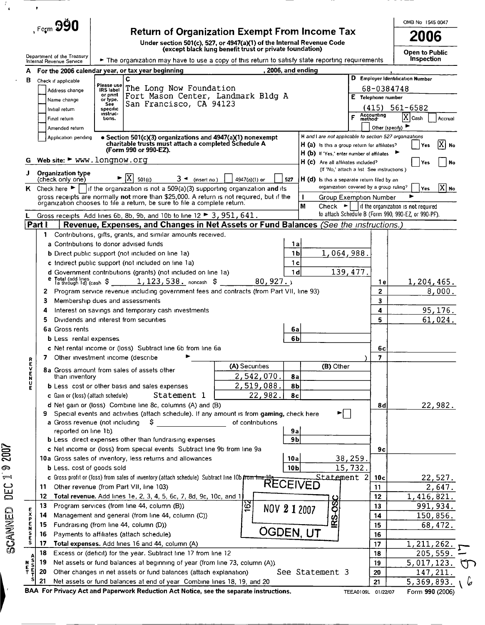|                                                                                                                                                    |                                    |                                                                                                                                                         |                                                         |                            |                                                                                                          |                                           |                                  | OMB No 1545 0047                                        |
|----------------------------------------------------------------------------------------------------------------------------------------------------|------------------------------------|---------------------------------------------------------------------------------------------------------------------------------------------------------|---------------------------------------------------------|----------------------------|----------------------------------------------------------------------------------------------------------|-------------------------------------------|----------------------------------|---------------------------------------------------------|
|                                                                                                                                                    | $Ferm$ 990                         | <b>Return of Organization Exempt From Income Tax</b><br>Under section 501(c), 527, or 4947(a)(1) of the Internal Revenue Code                           |                                                         |                            |                                                                                                          |                                           |                                  | 2006                                                    |
|                                                                                                                                                    | Department of the Treasury         |                                                                                                                                                         | (except black lung benefit trust or private foundation) |                            |                                                                                                          |                                           |                                  | <b>Open to Public</b>                                   |
|                                                                                                                                                    | Internal Revenue Service           | $\blacktriangleright$ The organization may have to use a copy of this return to satisfy state reporting requirements                                    |                                                         |                            |                                                                                                          |                                           |                                  | Inspection                                              |
| A                                                                                                                                                  |                                    | For the 2006 calendar year, or tax year beginning                                                                                                       |                                                         | , 2006, and ending         |                                                                                                          |                                           |                                  |                                                         |
| в                                                                                                                                                  | Check if applicable                | C<br>Please use<br>The Long Now Foundation                                                                                                              |                                                         |                            |                                                                                                          |                                           |                                  | D Employer Identification Number                        |
|                                                                                                                                                    | Address change                     | <b>IRS</b> label<br>or print<br>Fort Mason Center, Landmark Bldg A                                                                                      |                                                         |                            |                                                                                                          |                                           | 68-0384748<br>E Telephone number |                                                         |
|                                                                                                                                                    | Name change<br>Initial return      | or type.<br>San Francisco, CA 94123<br>See                                                                                                              |                                                         |                            |                                                                                                          |                                           |                                  | $(415) 561 - 6582$                                      |
|                                                                                                                                                    | Final return                       | specific<br>instruc-<br>tions.                                                                                                                          |                                                         |                            |                                                                                                          | F                                         | Accounting<br>method             | $\mathbf{X}$<br>Cash<br>Accrual                         |
|                                                                                                                                                    | Amended return                     |                                                                                                                                                         |                                                         |                            |                                                                                                          |                                           | Other (specify)                  |                                                         |
|                                                                                                                                                    | Application pending                | • Section 501(c)(3) organizations and 4947(a)(1) nonexempt<br>charitable trusts must attach a completed Schedule A                                      |                                                         |                            | H and I are not applicable to section 527 organizations<br>$H(a)$ is this a group return for affiliates? |                                           |                                  | X <br><b>Yes</b><br>No                                  |
|                                                                                                                                                    |                                    | (Form 990 or 990-EZ).                                                                                                                                   |                                                         |                            | <b>H</b> ( <b>b</b> ) If 'Yes,' enter number of affiliates                                               |                                           |                                  |                                                         |
| G                                                                                                                                                  |                                    | Web site: $\blacktriangleright$ www.longnow.org                                                                                                         |                                                         |                            | H (c) Are all affiliates included?                                                                       | (If 'No,' attach a list See instructions) |                                  | Yes<br>No                                               |
| J                                                                                                                                                  | <b>Organization type</b>           | ΙX<br>$3 -$ (insert no)<br>501(c)                                                                                                                       | 4947(a)(1) or                                           | 527                        | H (d) Is this a separate return filed by an                                                              |                                           |                                  |                                                         |
|                                                                                                                                                    | (check only one)                   | K Check here $\blacktriangleright$   if the organization is not a 509(a)(3) supporting organization and its                                             |                                                         |                            |                                                                                                          | organization covered by a group ruling?   |                                  | $\overline{X}$ No<br>Yes                                |
|                                                                                                                                                    |                                    | gross receipts are normally not more than \$25,000. A return is not required, but if the                                                                |                                                         |                            |                                                                                                          | Group Exemption Number                    |                                  |                                                         |
|                                                                                                                                                    |                                    | organization chooses to file a return, be sure to file a complete return.                                                                               |                                                         |                            | M                                                                                                        |                                           |                                  | Check $\bullet$     if the organization is not required |
|                                                                                                                                                    |                                    | Gross receipts Add lines 6b, 8b, 9b, and 10b to line 12 $\blacktriangleright$ 3, 951, 641.                                                              |                                                         |                            |                                                                                                          |                                           |                                  | to attach Schedule B (Form 990, 990-EZ, or 990-PF).     |
| Part I                                                                                                                                             |                                    | Revenue, Expenses, and Changes in Net Assets or Fund Balances (See the instructions.)                                                                   |                                                         |                            |                                                                                                          |                                           |                                  |                                                         |
| 1.                                                                                                                                                 |                                    | Contributions, gifts, grants, and similar amounts received.                                                                                             |                                                         |                            |                                                                                                          |                                           |                                  |                                                         |
|                                                                                                                                                    |                                    | a Contributions to donor advised funds                                                                                                                  |                                                         | 1 a                        |                                                                                                          |                                           |                                  |                                                         |
|                                                                                                                                                    |                                    | <b>b</b> Direct public support (not included on line 1a)                                                                                                |                                                         | 1 <sub>b</sub>             |                                                                                                          | 1,064,988.                                |                                  |                                                         |
|                                                                                                                                                    |                                    | c Indirect public support (not included on line 1a)                                                                                                     |                                                         | 1с                         |                                                                                                          |                                           |                                  |                                                         |
|                                                                                                                                                    |                                    | d Government contributions (grants) (not included on line 1a)                                                                                           |                                                         | 1 <sub>d</sub><br>80, 927. |                                                                                                          | 139, 477.                                 |                                  |                                                         |
|                                                                                                                                                    |                                    | Total (add lines<br>La through 1d) (cash $\frac{1}{2}$ , 123, 538, noncash $\frac{1}{2}$                                                                | 1е<br>$\overline{2}$                                    | 1,204,465.                 |                                                                                                          |                                           |                                  |                                                         |
| 2                                                                                                                                                  |                                    | Program service revenue including government fees and contracts (from Part VII, line 93)                                                                |                                                         |                            |                                                                                                          |                                           |                                  | 8,000.                                                  |
| З                                                                                                                                                  | Membership dues and assessments    |                                                                                                                                                         |                                                         |                            |                                                                                                          |                                           | 3<br>4                           |                                                         |
| 4                                                                                                                                                  |                                    | Interest on savings and temporary cash investments<br>Dividends and interest from securities<br>6a                                                      |                                                         |                            |                                                                                                          |                                           |                                  | 95,176.                                                 |
| 5                                                                                                                                                  | 6a Gross rents                     |                                                                                                                                                         |                                                         |                            |                                                                                                          |                                           |                                  | 61,024.                                                 |
|                                                                                                                                                    | <b>b</b> Less rental expenses      |                                                                                                                                                         |                                                         | 6b                         |                                                                                                          |                                           |                                  |                                                         |
|                                                                                                                                                    |                                    | c Net rental income or (loss) Subtract line 6b from line 6a                                                                                             |                                                         |                            |                                                                                                          |                                           | 6с                               |                                                         |
|                                                                                                                                                    |                                    | 7 Other investment income (describe                                                                                                                     |                                                         |                            |                                                                                                          |                                           | $\overline{7}$                   |                                                         |
|                                                                                                                                                    |                                    |                                                                                                                                                         | (A) Securities                                          |                            | (B) Other                                                                                                |                                           |                                  |                                                         |
|                                                                                                                                                    | than inventory                     | 8a Gross amount from sales of assets other                                                                                                              | 2,542,070                                               | 8a                         |                                                                                                          |                                           |                                  |                                                         |
| ヒロスヒヘモド                                                                                                                                            |                                    | <b>b</b> Less cost or other basis and sales expenses                                                                                                    | 2,519,088.                                              | 8b                         |                                                                                                          |                                           |                                  |                                                         |
|                                                                                                                                                    | c Gain or (loss) (attach schedule) | Statement 1                                                                                                                                             | 22,982.                                                 | 8 <sub>c</sub>             |                                                                                                          |                                           |                                  |                                                         |
|                                                                                                                                                    |                                    | d Net gain or (loss) Combine line 8c, columns (A) and (B)                                                                                               |                                                         |                            |                                                                                                          |                                           | 8d                               | 22, 982.                                                |
|                                                                                                                                                    |                                    | Special events and activities (attach schedule). If any amount is from gaming, check here                                                               |                                                         |                            |                                                                                                          | ►∣∴                                       |                                  |                                                         |
|                                                                                                                                                    |                                    | a Gross revenue (not including<br>Ş                                                                                                                     | of contributions                                        |                            |                                                                                                          |                                           |                                  |                                                         |
|                                                                                                                                                    | reported on line 1b).              |                                                                                                                                                         |                                                         | 9a                         |                                                                                                          |                                           |                                  |                                                         |
|                                                                                                                                                    |                                    | <b>b</b> Less direct expenses other than fundraising expenses                                                                                           |                                                         | 9 <sub>b</sub>             |                                                                                                          |                                           |                                  |                                                         |
|                                                                                                                                                    |                                    | c Net income or (loss) from special events Subtract line 9b from line 9a                                                                                |                                                         |                            |                                                                                                          |                                           | 9c                               |                                                         |
|                                                                                                                                                    |                                    | 10a Gross sales of inventory, less returns and allowances                                                                                               |                                                         | 10a                        |                                                                                                          | <u>38,259.</u>                            |                                  |                                                         |
|                                                                                                                                                    | <b>b</b> Less. cost of goods sold  | <b>b</b> Less. cost or goods song<br><b>c</b> Gross profit or (loss) from sales of inventory (attach schedule) Subtract line 10b from line 10a RECEIVED |                                                         | 10 <sub>b</sub>            |                                                                                                          | 15,732.<br>Statement 2                    |                                  |                                                         |
|                                                                                                                                                    |                                    |                                                                                                                                                         |                                                         |                            |                                                                                                          |                                           | 10 <sub>c</sub>                  | <u>22,527.</u>                                          |
| 11<br>12                                                                                                                                           |                                    | Total revenue. Add lines 1e, 2, 3, 4, 5, 6c, 7, 8d, 9c, 10c, and 1                                                                                      |                                                         |                            |                                                                                                          |                                           | 11<br>12                         | 2,647.<br>1,416,821.                                    |
| 13                                                                                                                                                 |                                    | Program services (from line 44, column (B))                                                                                                             | 162                                                     |                            |                                                                                                          |                                           | 13                               | 991, 934.                                               |
| 14                                                                                                                                                 |                                    | Management and general (from line 44, column (C))                                                                                                       |                                                         | NOV 2 1 2007               | RS-OS                                                                                                    |                                           | 14                               | 150,856.                                                |
| 15                                                                                                                                                 |                                    | Fundraising (from line 44, column (D))                                                                                                                  |                                                         |                            |                                                                                                          |                                           | 15                               | 68,472.                                                 |
| <b>SERSER</b><br>16                                                                                                                                |                                    | Payments to affiliates (attach schedule).                                                                                                               |                                                         | OGDEN, UT                  |                                                                                                          |                                           | 16                               |                                                         |
| 17                                                                                                                                                 |                                    | Total expenses. Add lines 16 and 44, column (A)                                                                                                         |                                                         |                            |                                                                                                          |                                           | 17                               | 1, 211, 262                                             |
| 18                                                                                                                                                 |                                    | Excess or (deficit) for the year. Subtract line 17 from line 12                                                                                         |                                                         |                            |                                                                                                          |                                           | 18                               | 205,559                                                 |
| 19                                                                                                                                                 |                                    | Net assets or fund balances at beginning of year (from line 73, column (A)).                                                                            |                                                         |                            |                                                                                                          |                                           | 19                               | 5,017,123.                                              |
| $\begin{array}{c}\n\stackrel{\mathsf{N}}{\mathsf{E}} \\ \stackrel{\mathsf{S}}{\mathsf{F}} \\ \stackrel{\mathsf{F}}{\mathsf{F}}\n\end{array}$<br>20 |                                    | Other changes in net assets or fund balances (attach explanation)                                                                                       |                                                         |                            | See Statement 3                                                                                          |                                           | 20                               | 147,211                                                 |
|                                                                                                                                                    |                                    | Net assets or fund balances at end of year Combine lines 18, 19, and 20                                                                                 |                                                         |                            |                                                                                                          |                                           | 21                               | 5,369,893.                                              |
| 21                                                                                                                                                 |                                    |                                                                                                                                                         |                                                         |                            |                                                                                                          |                                           |                                  |                                                         |

--

- - - - -

SCANNED DEC 1'9 2007

Ō.

 $\frac{d}{d}$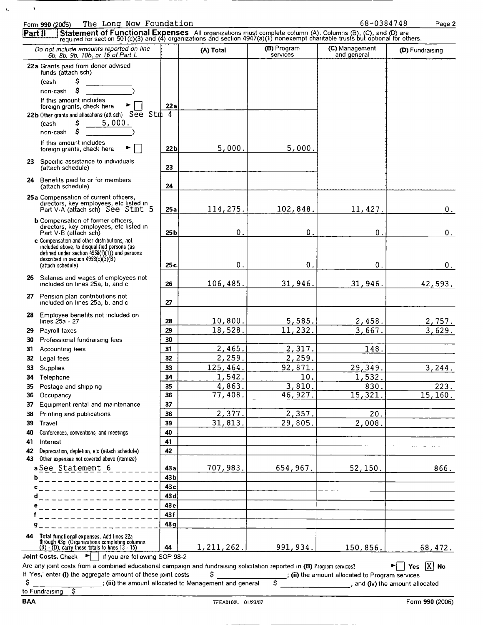|          | The Long Now Foundation<br>Form 990 (2006)                                                                                                                                                                                     |                 |                                                        |                         | 68-0384748                                      | Page 2                          |
|----------|--------------------------------------------------------------------------------------------------------------------------------------------------------------------------------------------------------------------------------|-----------------|--------------------------------------------------------|-------------------------|-------------------------------------------------|---------------------------------|
| Part il  | Statement of Functional Expenses All organizations must complete column (A). Columns (B), (C), and (D) are required for section 501(c)(3) and (4) organizations and section 4947(a)(1) nonexempt charitable trusts but optiona |                 |                                                        |                         |                                                 |                                 |
|          | Do not include amounts reported on line<br>6b, 8b, 9b, 10b, or 16 of Part I.                                                                                                                                                   |                 | (A) Total                                              | (B) Program<br>services | (C) Management<br>and general                   | (D) Fundraising                 |
|          | 22 a Grants paid from donor advised<br>funds (attach sch)<br>S<br>(cash<br>Ŝ<br>non-cash<br>If this amount includes<br>foreign grants, check here                                                                              | 22 a<br>4       |                                                        |                         |                                                 |                                 |
|          | 22b Other grants and allocations (att sch) See Stm<br>5,000.<br>Ş<br>(cash<br>s<br>non-cash<br>If this amount includes                                                                                                         |                 |                                                        |                         |                                                 |                                 |
|          | foreign grants, check here<br>23 Specific assistance to individuals                                                                                                                                                            | 22 b            | 5,000.                                                 | 5,000.                  |                                                 |                                 |
|          | (attach schedule)                                                                                                                                                                                                              | 23              |                                                        |                         |                                                 |                                 |
|          | 24 Benefits paid to or for members<br>(attach schedule)<br>25a Compensation of current officers,                                                                                                                               | 24              |                                                        |                         |                                                 |                                 |
|          | directors, key employees, etc listed in<br>Part V-A (attach sch) See Stmt 5                                                                                                                                                    | 25a             | 114, 275.                                              | 102,848.                | 11, 427.                                        | 0.                              |
|          | <b>b</b> Compensation of former officers,<br>directors, key employees, etc listed in<br>Part V-B (attach sch)                                                                                                                  | 25 <sub>b</sub> | 0.                                                     | 0.                      | 0.                                              | $0$ .                           |
|          | c Compensation and other distributions, not<br>included above, to disqualified persons (as<br>defined under section 4958(f)(1)) and persons<br>described in section 4958(c)(3)(B)<br>(attach schedule)                         | 25 <sub>c</sub> | О.                                                     | $\mathbf 0$ .           | 0.                                              | 0.                              |
|          | 26 Salaries and wages of employees not<br>included on lines 25a, b, and c                                                                                                                                                      | 26              | 106,485.                                               | 31,946.                 | 31,946.                                         | 42,593.                         |
|          | 27 Pension plan contributions not<br>included on lines 25a, b, and c                                                                                                                                                           | 27              |                                                        |                         |                                                 |                                 |
|          | 28 Employee benefits not included on<br>lines 25a - 27                                                                                                                                                                         | 28              | 10,800.                                                | 5,585.                  | 2,458.                                          | 2,757.                          |
| 29       | Payroll taxes                                                                                                                                                                                                                  | 29              | 18,528.                                                | 11,232.                 | 3,667.                                          | 3,629.                          |
| 30<br>31 | Professional fundraising fees<br>Accounting fees                                                                                                                                                                               | 30<br>31        | 2,465.                                                 | 2,317.                  | 148.                                            |                                 |
| 32       | Legal fees                                                                                                                                                                                                                     | 32              | 2,259.                                                 | 2,259.                  |                                                 |                                 |
| 33       | Supplies                                                                                                                                                                                                                       | 33              | 125, 464.                                              | 92, 871.                | 29,349.                                         | 3,244.                          |
|          |                                                                                                                                                                                                                                | 34              | 1,542.                                                 | 10.                     | 1,532.                                          |                                 |
| 34       | Telephone                                                                                                                                                                                                                      | 35              | 4,863.                                                 | 3,810.                  | 830.                                            | 223.                            |
| 35<br>36 | Postage and shipping<br>Occupancy                                                                                                                                                                                              | 36              | 77,408.                                                | 46,927.                 | 15,321.                                         | 15, 160.                        |
| 37       | Equipment rental and maintenance                                                                                                                                                                                               | 37              |                                                        |                         |                                                 |                                 |
|          |                                                                                                                                                                                                                                |                 | 2,377.                                                 | 2,357.                  | 20.                                             |                                 |
| 38       | Printing and publications                                                                                                                                                                                                      | 38              |                                                        |                         |                                                 |                                 |
| 39       | Travel                                                                                                                                                                                                                         | 39              | 31,813.                                                | 29,805.                 | 2,008.                                          |                                 |
| 40       | Conferences, conventions, and meetings                                                                                                                                                                                         | 40              |                                                        |                         |                                                 |                                 |
| 41<br>42 | Interest<br>Depreciation, depletion, etc (attach schedule)                                                                                                                                                                     | 41<br>42        |                                                        |                         |                                                 |                                 |
| 43       | Other expenses not covered above (itemize)<br>aSee Statement 6                                                                                                                                                                 | 43a             | 707,983.                                               | 654,967.                | 52, 150.                                        | 866.                            |
| b        | <u>i de de de de de de d</u>                                                                                                                                                                                                   | 43b             |                                                        |                         |                                                 |                                 |
| c        | . <u>.</u> .                                                                                                                                                                                                                   | 43c             |                                                        |                         |                                                 |                                 |
| đ        |                                                                                                                                                                                                                                | 43 d            |                                                        |                         |                                                 |                                 |
| e        |                                                                                                                                                                                                                                | 43 e            |                                                        |                         |                                                 |                                 |
|          |                                                                                                                                                                                                                                | 43f             |                                                        |                         |                                                 |                                 |
| g        |                                                                                                                                                                                                                                | 43 a            |                                                        |                         |                                                 |                                 |
| 44       | Total functional expenses. Add lines 22a<br>through 43g (Organizations completing columns<br>(B) - (D), carry these totals to lines 13 - 15)                                                                                   | 44              | 1, 211, 262.                                           | 991, 934.               | 150,856.                                        | 68,472.                         |
|          | Joint Costs. Check<br>▶   if you are following SOP 98-2                                                                                                                                                                        |                 |                                                        |                         |                                                 |                                 |
|          | Are any joint costs from a combined educational campaign and fundraising solicitation reported in (B) Program services?<br>If 'Yes,' enter (i) the aggregate amount of these joint costs                                       |                 | Ś                                                      |                         |                                                 | Yes $ X $ No                    |
| \$       |                                                                                                                                                                                                                                |                 | ; (iii) the amount allocated to Management and general | Ś                       | ; (ii) the amount allocated to Program services | , and (iv) the amount allocated |
|          |                                                                                                                                                                                                                                |                 |                                                        |                         |                                                 |                                 |

-- -

 $\sim$   $\bullet$ 

 $\mathbf{A}_{\mathbf{a}}$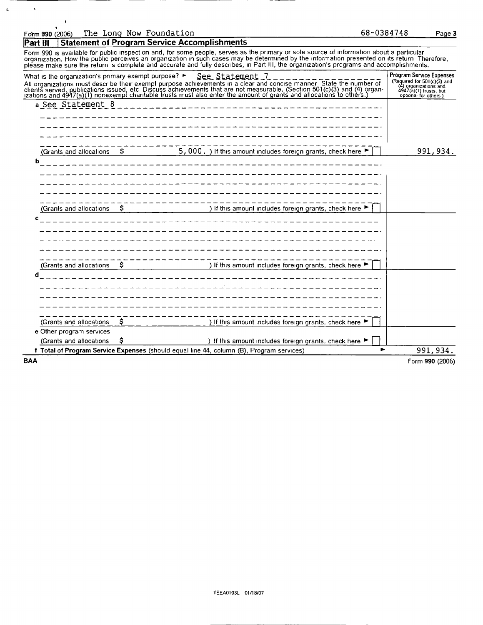| Form 990 (2006) |  | The Long Now Foundation |
|-----------------|--|-------------------------|
|                 |  |                         |

t

 $\ddot{\phantom{1}}$ 

 $\pmb{\iota}$ 

Part III Statement of Program Service Accomplishments

Form 990 is available for public inspection and, for some people, serves as the primary or sole source of information about a particular<br>organization. How the public perceives an organization in such cases may be determine

| What is the organization's primary exempt purpose? > |    | See Statement 7<br>All organizations must describe their exempt purpose achievements in a clear and concise manner. State the number of clients served, publications issued, etc. Discuss achievements that are not measurable. (Section 501(c)(3 | <b>Program Service Expenses</b><br>Required for $501(c)$ (3) and<br>(4) organizations and<br>4947(a)(1) trusts, but<br>optional for others) |
|------------------------------------------------------|----|---------------------------------------------------------------------------------------------------------------------------------------------------------------------------------------------------------------------------------------------------|---------------------------------------------------------------------------------------------------------------------------------------------|
| a See Statement 8                                    |    | _________________________                                                                                                                                                                                                                         |                                                                                                                                             |
|                                                      |    |                                                                                                                                                                                                                                                   |                                                                                                                                             |
|                                                      |    |                                                                                                                                                                                                                                                   |                                                                                                                                             |
|                                                      |    |                                                                                                                                                                                                                                                   |                                                                                                                                             |
| (Grants and allocations                              | S. | 5, 000. ) If this amount includes foreign grants, check here $\blacktriangleright$                                                                                                                                                                | 991, 934.                                                                                                                                   |
| b                                                    |    | ___________________________________                                                                                                                                                                                                               |                                                                                                                                             |
|                                                      |    |                                                                                                                                                                                                                                                   |                                                                                                                                             |
|                                                      |    |                                                                                                                                                                                                                                                   |                                                                                                                                             |
|                                                      |    |                                                                                                                                                                                                                                                   |                                                                                                                                             |
| (Grants and allocations                              | -S | ) If this amount includes foreign grants, check here ▶                                                                                                                                                                                            |                                                                                                                                             |
| c                                                    |    |                                                                                                                                                                                                                                                   |                                                                                                                                             |
|                                                      |    |                                                                                                                                                                                                                                                   |                                                                                                                                             |
|                                                      |    |                                                                                                                                                                                                                                                   |                                                                                                                                             |
|                                                      |    |                                                                                                                                                                                                                                                   |                                                                                                                                             |
|                                                      |    |                                                                                                                                                                                                                                                   |                                                                                                                                             |
| (Grants and allocations                              | S. | ) If this amount includes foreign grants, check here $\blacktriangleright$                                                                                                                                                                        |                                                                                                                                             |
| d                                                    |    |                                                                                                                                                                                                                                                   |                                                                                                                                             |
|                                                      |    |                                                                                                                                                                                                                                                   |                                                                                                                                             |
|                                                      |    |                                                                                                                                                                                                                                                   |                                                                                                                                             |
|                                                      |    |                                                                                                                                                                                                                                                   |                                                                                                                                             |
| (Grants and allocations)                             | Ş  | ) If this amount includes foreign grants, check here ▶                                                                                                                                                                                            |                                                                                                                                             |
| e Other program services                             |    |                                                                                                                                                                                                                                                   |                                                                                                                                             |
| (Grants and allocations                              | s  | ) If this amount includes foreign grants, check here $\blacktriangleright$                                                                                                                                                                        |                                                                                                                                             |
|                                                      |    | ►<br>f Total of Program Service Expenses (should equal line 44, column (B), Program services)                                                                                                                                                     | 991, 934.                                                                                                                                   |
| <b>BAA</b>                                           |    |                                                                                                                                                                                                                                                   | Form 990 (2006)                                                                                                                             |

68~0384748 Page <sup>3</sup>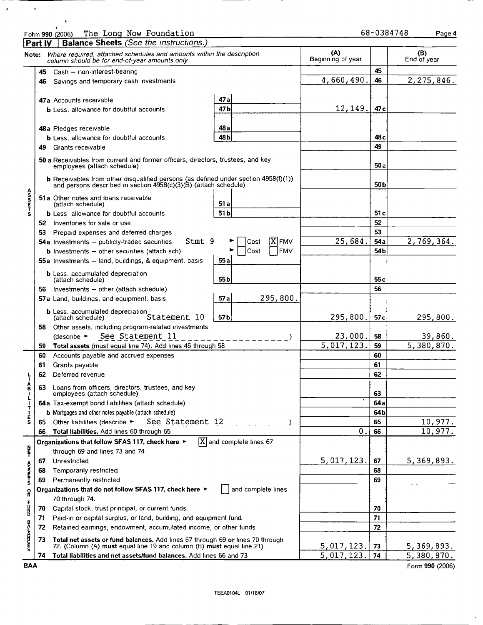$\epsilon$ 

 $\hat{\mathbf{v}}$ 

 $\bullet$ 

|                  | <b>Part IV</b> | <b>Balance Sheets</b> (See the instructions.)                                                                                                               |                                                                   |  |                             |            |                          |                 |                          |
|------------------|----------------|-------------------------------------------------------------------------------------------------------------------------------------------------------------|-------------------------------------------------------------------|--|-----------------------------|------------|--------------------------|-----------------|--------------------------|
|                  |                | Note: Where required, attached schedules and amounts within the description<br>column should be for end-of-year amounts only                                |                                                                   |  |                             |            | (A)<br>Beginning of year |                 | (B)<br>End of year       |
|                  | 45             | Cash - non-interest-bearing                                                                                                                                 |                                                                   |  |                             |            |                          | 45              |                          |
|                  | 46             | Savings and temporary cash investments                                                                                                                      |                                                                   |  |                             |            |                          |                 |                          |
|                  |                |                                                                                                                                                             |                                                                   |  |                             |            |                          |                 |                          |
|                  |                | 47a Accounts receivable                                                                                                                                     | 47 a                                                              |  |                             |            |                          |                 |                          |
|                  |                | <b>b</b> Less, allowance for doubtful accounts                                                                                                              | 47 b                                                              |  |                             |            | 12,149.                  | 47 <sub>c</sub> |                          |
|                  |                |                                                                                                                                                             |                                                                   |  |                             |            |                          |                 |                          |
|                  |                | 48a Pledges receivable                                                                                                                                      | 48 a                                                              |  |                             |            |                          |                 |                          |
|                  |                | <b>b</b> Less. allowance for doubtful accounts                                                                                                              | 48 Ь                                                              |  |                             |            |                          | 48 c            |                          |
|                  | 49             | Grants receivable                                                                                                                                           |                                                                   |  |                             |            |                          | 49              |                          |
|                  |                | 50 a Receivables from current and former officers, directors, trustees, and key<br>employees (attach schedule)                                              |                                                                   |  |                             |            |                          | 50 a            |                          |
|                  |                | <b>b</b> Receivables from other disqualified persons (as defined under section 4958(f)(1)) and persons described in section 4958(c)(3)(B) (attach schedule) |                                                                   |  |                             |            |                          | 50 b            |                          |
| <b>ASSETS</b>    |                | 51a Other notes and loans receivable<br>(attach schedule)                                                                                                   | 51 a                                                              |  |                             |            |                          |                 |                          |
|                  |                | <b>b</b> Less allowance for doubtful accounts                                                                                                               | 51 <sub>b</sub>                                                   |  |                             |            |                          | 51 c            |                          |
|                  |                | 52 Inventories for sale or use                                                                                                                              |                                                                   |  |                             |            |                          | 52              |                          |
|                  | 53.            | Prepaid expenses and deferred charges                                                                                                                       |                                                                   |  |                             |            |                          | 53              |                          |
|                  |                | Stmt 9<br>54a investments - publicly-traded securities                                                                                                      |                                                                   |  | Cost                        | X FMV      | 25,684.                  | 54a             | 2,769,364.               |
|                  |                | <b>b</b> Investments $-$ other securities (attach sch)                                                                                                      |                                                                   |  | Cost                        | <b>FMV</b> |                          | 54 <sub>b</sub> |                          |
|                  |                | 55a Investments - land, buildings, & equipment, basis                                                                                                       | 55a                                                               |  |                             |            |                          |                 |                          |
|                  |                | <b>b</b> Less, accumulated depreciation<br>(attach schedule)                                                                                                | 55 <sub>b</sub>                                                   |  |                             |            |                          | 55 c            |                          |
|                  | 56             | Investments - other (attach schedule)                                                                                                                       |                                                                   |  |                             |            |                          | 56              |                          |
|                  |                | 57a Land, buildings, and equipment. basis                                                                                                                   | 57a                                                               |  |                             | 295,800.   |                          |                 |                          |
|                  |                | <b>b</b> Less. accumulated depreciation<br>Statement 10                                                                                                     | 57 <sub>b</sub>                                                   |  |                             |            | 295,800.                 | 57 <sub>c</sub> | 295,800.                 |
|                  | 58             | Other assets, including program-related investments                                                                                                         |                                                                   |  |                             |            |                          |                 |                          |
|                  |                | See Statement 11<br>(describe ►                                                                                                                             |                                                                   |  |                             |            | 23,000.                  | 58              | 39,860.                  |
|                  | 59             | Total assets (must equal line 74). Add lines 45 through 58                                                                                                  |                                                                   |  |                             |            | 5,017,123.               | 59              | $\overline{5,380,870}$ . |
|                  | 60             | Accounts payable and accrued expenses                                                                                                                       |                                                                   |  |                             |            |                          | 60              |                          |
|                  | 61             | Grants payable                                                                                                                                              |                                                                   |  |                             |            |                          | 61              |                          |
| ┞                | 62             | Deferred revenue.                                                                                                                                           |                                                                   |  |                             |            |                          | 62              |                          |
| â                | 63             | Loans from officers, directors, trustees, and key<br>employees (attach schedule).                                                                           |                                                                   |  |                             |            |                          | 63              |                          |
| T                |                | 64a Tax-exempt bond liabilities (attach schedule)                                                                                                           |                                                                   |  |                             |            |                          | 64a             |                          |
| i<br>S           |                | <b>b</b> Mortgages and other notes payable (attach schedule)                                                                                                |                                                                   |  |                             |            |                          | 64 b            |                          |
|                  | 65             | See Statement 12<br>Other liabilities (describe ►                                                                                                           |                                                                   |  |                             |            |                          | 65              | 10,977.                  |
|                  | 66             | Total liabilities. Add lines 60 through 65                                                                                                                  |                                                                   |  |                             |            | 0                        | 66              | 10,977.                  |
|                  |                | Organizations that follow SFAS 117, check here ►                                                                                                            |                                                                   |  | $ X $ and complete lines 67 |            |                          |                 |                          |
| 빝                |                | through 69 and lines 73 and 74                                                                                                                              |                                                                   |  |                             |            |                          |                 |                          |
|                  | 67             | Unrestricted                                                                                                                                                |                                                                   |  |                             |            | 5,017,123.               | 67              | 5,369,893.               |
| A<br>Shrine<br>S | 68             | Temporarily restricted                                                                                                                                      |                                                                   |  |                             |            |                          | 68              |                          |
|                  | 69             | Permanently restricted                                                                                                                                      |                                                                   |  | 69                          |            |                          |                 |                          |
| o<br>R           |                | Organizations that do not follow SFAS 117, check here ►                                                                                                     |                                                                   |  | and complete lines          |            |                          |                 |                          |
| F                | 70             | 70 through 74.<br>Capital stock, trust principal, or current funds                                                                                          |                                                                   |  |                             |            |                          | 70              |                          |
| K                | 71             |                                                                                                                                                             | Paid-in or capital surplus, or land, building, and equipment fund |  |                             |            |                          |                 |                          |
|                  | 72             | Retained earnings, endowment, accumulated income, or other funds                                                                                            |                                                                   |  |                             |            |                          |                 |                          |
|                  |                |                                                                                                                                                             |                                                                   |  |                             |            |                          | 72              |                          |
| <b>DRITION</b>   | 73             | Total net assets or fund balances. Add lines 67 through 69 or lines 70 through<br>72. (Column (A) must equal line 19 and column (B) must equal line 21)     |                                                                   |  |                             |            | <u>5,017,123.</u>        | 73              | 5, 369, 893.             |
|                  | 74             | Total liabilities and net assets/fund balances. Add lines 66 and 73                                                                                         |                                                                   |  |                             |            | 5,017,123                | 74              | 5,380,870.               |
| <b>BAA</b>       |                |                                                                                                                                                             |                                                                   |  |                             |            |                          |                 | Form 990 (2006)          |

 $\ddot{\phantom{a}}$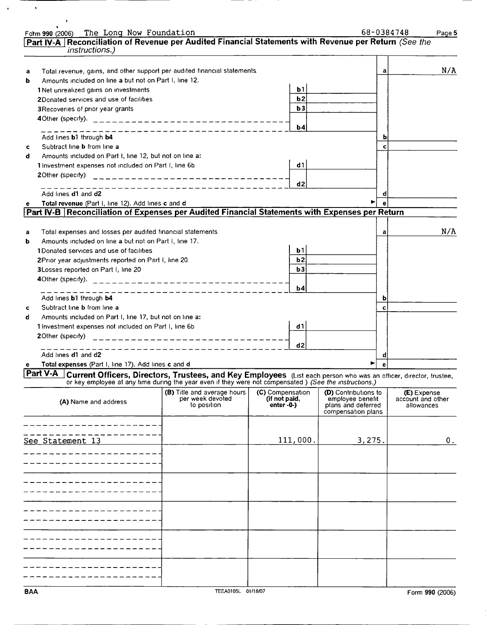|   | The Long Now Foundation<br>Form 990 (2006)                                                                                        |                                 |                  |           |                                          |   | 68-0384748<br>Page 5 |
|---|-----------------------------------------------------------------------------------------------------------------------------------|---------------------------------|------------------|-----------|------------------------------------------|---|----------------------|
|   | Part IV-A Reconciliation of Revenue per Audited Financial Statements with Revenue per Return (See the                             |                                 |                  |           |                                          |   |                      |
|   | <i>instructions.)</i>                                                                                                             |                                 |                  |           |                                          |   |                      |
|   |                                                                                                                                   |                                 |                  |           |                                          |   |                      |
| а | Total revenue, gains, and other support per audited financial statements.                                                         |                                 |                  |           |                                          | а | N/A                  |
| ь | Amounts included on line a but not on Part I, line 12.                                                                            |                                 |                  |           |                                          |   |                      |
|   | 1 Net unrealized gains on investments                                                                                             |                                 |                  | Ь1        |                                          |   |                      |
|   | 2Donated services and use of facilities                                                                                           |                                 |                  | b2        |                                          |   |                      |
|   | 3 Recoveries of prior year grants                                                                                                 |                                 |                  | b3        |                                          |   |                      |
|   |                                                                                                                                   |                                 |                  |           |                                          |   |                      |
|   | $\ldots$ and $\ldots$ and $\ldots$ and $\ldots$                                                                                   |                                 |                  | b4        |                                          |   |                      |
|   | Add lines b1 through b4                                                                                                           |                                 |                  |           |                                          | b |                      |
| c | Subtract line <b>b</b> from line a                                                                                                |                                 |                  |           |                                          | c |                      |
| d | Amounts included on Part I, line 12, but not on line a:                                                                           |                                 |                  |           |                                          |   |                      |
|   | 1 Investment expenses not included on Part I, line 6b                                                                             |                                 |                  | d1        |                                          |   |                      |
|   | 20ther (specify)                                                                                                                  |                                 |                  |           |                                          |   |                      |
|   |                                                                                                                                   |                                 |                  | d2        |                                          |   |                      |
|   | Add lines d1 and d2                                                                                                               |                                 |                  |           |                                          | d |                      |
| е | Total revenue (Part I, line 12). Add lines c and d                                                                                |                                 |                  |           |                                          |   |                      |
|   | Part IV-B Reconciliation of Expenses per Audited Financial Statements with Expenses per Return                                    |                                 |                  |           |                                          |   |                      |
|   |                                                                                                                                   |                                 |                  |           |                                          |   |                      |
| а | Total expenses and losses per audited financial statements                                                                        |                                 |                  |           |                                          | a | N/A                  |
| ь | Amounts included on line a but not on Part I, line 17.                                                                            |                                 |                  |           |                                          |   |                      |
|   | 1Donated services and use of facilities                                                                                           |                                 |                  | ь1        |                                          |   |                      |
|   | 2Prior year adjustments reported on Part I, line 20                                                                               |                                 |                  | b2        |                                          |   |                      |
|   | 3Losses reported on Part I, line 20                                                                                               |                                 |                  | b3        |                                          |   |                      |
|   | 4Other (specify).                                                                                                                 | --------------------------      |                  |           |                                          |   |                      |
|   |                                                                                                                                   |                                 |                  | <b>b4</b> |                                          |   |                      |
|   | Add lines b1 through b4                                                                                                           |                                 |                  |           |                                          |   |                      |
| c | Subtract line <b>b</b> from line a                                                                                                |                                 |                  |           |                                          | c |                      |
| d | Amounts included on Part I, line 17, but not on line a:                                                                           |                                 |                  |           |                                          |   |                      |
|   | 1 Investment expenses not included on Part I, line 6b                                                                             |                                 |                  | d 1       |                                          |   |                      |
|   | 20ther (specify)                                                                                                                  | -------------------------       |                  |           |                                          |   |                      |
|   |                                                                                                                                   |                                 |                  | d2        |                                          |   |                      |
|   | Add lines d1 and d2                                                                                                               |                                 |                  |           |                                          |   |                      |
|   | Total expenses (Part I, line 17). Add lines c and d                                                                               |                                 |                  |           |                                          |   |                      |
|   | <b>Part V.A</b> Current Officers, Directors, Trustees, and Key Employees (List each person who was an officer, director, trustee, |                                 |                  |           |                                          |   |                      |
|   | or key employee at any time during the year even if they were not compensated ) (See the instructions.)                           |                                 |                  |           |                                          |   |                      |
|   |                                                                                                                                   | (B) Title and average hours     | (C) Compensation |           | (D) Contributions to                     |   | (E) Expense          |
|   | (A) Name and address                                                                                                              | per week devoted<br>to position | (if not paid,    |           | employee benefit                         |   | account and other    |
|   |                                                                                                                                   |                                 | $enter - 0-$     |           | plans and deferred<br>compensation plans |   | allowances           |
|   |                                                                                                                                   |                                 |                  |           |                                          |   |                      |
|   |                                                                                                                                   |                                 |                  |           |                                          |   |                      |
|   | See Statement 13                                                                                                                  |                                 |                  | 111,000.  | 3,275.                                   |   | 0.                   |
|   |                                                                                                                                   |                                 |                  |           |                                          |   |                      |
|   |                                                                                                                                   |                                 |                  |           |                                          |   |                      |
|   |                                                                                                                                   |                                 |                  |           |                                          |   |                      |
|   |                                                                                                                                   |                                 |                  |           |                                          |   |                      |
|   |                                                                                                                                   |                                 |                  |           |                                          |   |                      |
|   |                                                                                                                                   |                                 |                  |           |                                          |   |                      |
|   |                                                                                                                                   |                                 |                  |           |                                          |   |                      |
|   |                                                                                                                                   |                                 |                  |           |                                          |   |                      |
|   |                                                                                                                                   |                                 |                  |           |                                          |   |                      |
|   |                                                                                                                                   |                                 |                  |           |                                          |   |                      |
|   |                                                                                                                                   |                                 |                  |           |                                          |   |                      |
|   |                                                                                                                                   |                                 |                  |           |                                          |   |                      |
|   |                                                                                                                                   |                                 |                  |           |                                          |   |                      |
|   |                                                                                                                                   |                                 |                  |           |                                          |   |                      |
|   |                                                                                                                                   |                                 |                  |           |                                          |   |                      |
|   |                                                                                                                                   |                                 |                  |           |                                          |   |                      |

 $\langle \cdot \rangle$ 

 $\langle \cdot \rangle$ 

 $\mathcal{A}$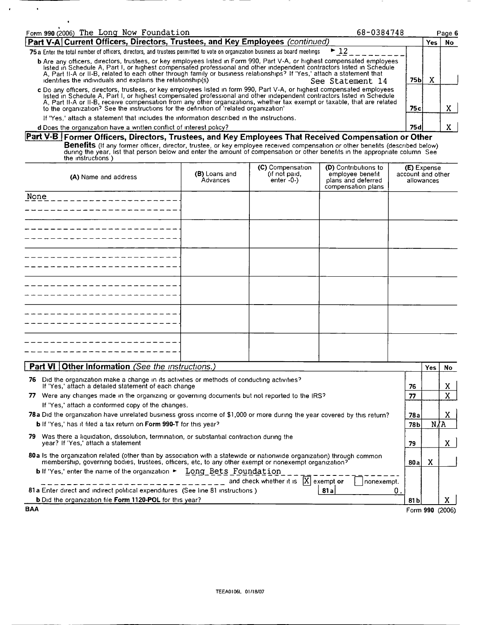| Form 990 (2006) The Long Now Foundation<br>68-0384748                                                                                                                                                                                                                                                                                                                                                                                                                   |       |     | Page 6 |
|-------------------------------------------------------------------------------------------------------------------------------------------------------------------------------------------------------------------------------------------------------------------------------------------------------------------------------------------------------------------------------------------------------------------------------------------------------------------------|-------|-----|--------|
| Part V-A Current Officers, Directors, Trustees, and Key Employees (continued)                                                                                                                                                                                                                                                                                                                                                                                           |       | Yes | No     |
| $\blacktriangleright$ 12<br>75 a Enter the total number of officers, directors, and trustees permitted to vote on organization business as board meetings                                                                                                                                                                                                                                                                                                               |       |     |        |
| b Are any officers, directors, trustees, or key employees listed in Form 990, Part V-A, or highest compensated employees<br>listed in Schedule A, Part I, or highest compensated professional and other independent contractors l<br>A, Part II-A or II-B, related to each other through family or business relationships? If 'Yes,' attach a statement that<br>identifies the individuals and explains the relationship(s)<br>See Statement 14                         | 75Ы   |     |        |
| c Do any officers, directors, trustees, or key employees listed in form 990, Part V-A, or highest compensated employees<br>listed in Schedule A, Part I, or highest compensated professional and other independent contractors listed in Schedule<br>A, Part II-A or II-B, receive compensation from any other organizations, whether tax exempt or taxable, that are related<br>to the organization? See the instructions for the definition of 'related organization' | 75с.  |     |        |
| If 'Yes,' attach a statement that includes the information described in the instructions.                                                                                                                                                                                                                                                                                                                                                                               |       |     |        |
| d Does the organization have a written conflict of interest policy?                                                                                                                                                                                                                                                                                                                                                                                                     | 75 a. |     |        |

## d Does the organization have a written conflict of interest policy

 $\bullet$ 

 $\overline{\phantom{a}}$ 

Part V-B i Former Officers, Directors, Trustees, and Key Employees That Received Compensation or Other **Benefits** (If any former officer, director, trustee, or key employee received compensation or other benefits (described below)<br>during the year, list that person below and enter the amount of compensation or other benefits

| (A) Name and address | (B) Loans and<br>Advances | (C) Compensation<br>(if not paid,<br>enter -0-) | (D) Contributions to<br>employee benefit<br>plans and deferred<br>compensation plans | <b>(E)</b> Expense<br>account and other<br>allowances |
|----------------------|---------------------------|-------------------------------------------------|--------------------------------------------------------------------------------------|-------------------------------------------------------|
| None                 |                           |                                                 |                                                                                      |                                                       |
|                      |                           |                                                 |                                                                                      |                                                       |
|                      |                           |                                                 |                                                                                      |                                                       |
|                      |                           |                                                 |                                                                                      |                                                       |
|                      |                           |                                                 |                                                                                      |                                                       |
|                      |                           |                                                 |                                                                                      |                                                       |

| <b>Part VI Other Information</b> (See the instructions.)                                                                                                                                                                         |      | <b>Yes</b> | No.             |
|----------------------------------------------------------------------------------------------------------------------------------------------------------------------------------------------------------------------------------|------|------------|-----------------|
| Did the organization make a change in its activities or methods of conducting activities?<br>76<br>If 'Yes,' attach a detailed statement of each change                                                                          | 76   |            | x               |
| Were any changes made in the organizing or governing documents but not reported to the IRS?<br>77                                                                                                                                | 77   |            | X               |
| If 'Yes,' attach a conformed copy of the changes.                                                                                                                                                                                |      |            |                 |
| 78a Did the organization have unrelated business gross income of \$1,000 or more during the year covered by this return?                                                                                                         | 78а  |            | X               |
| <b>b</b> If 'Yes,' has it filed a tax return on <b>Form 990-T</b> for this year?                                                                                                                                                 | 78b  |            | N/A             |
| Was there a liquidation, dissolution, termination, or substantial contraction during the<br>79.<br>year? If 'Yes,' attach a statement                                                                                            | 79   |            | X.              |
| 80 a Is the organization related (other than by association with a statewide or nationwide organization) through common<br>membership, governing bodies, trustees, officers, etc, to any other exempt or nonexempt organization? | 80a  | x          |                 |
| <b>b</b> If 'Yes,' enter the name of the organization $\blacktriangleright$ Long Bets Foundation<br>and check whether it is $ X $ exempt or<br>nonexempt.                                                                        |      |            |                 |
| 81a Enter direct and indirect political expenditures (See line 81 instructions)<br>81a<br>0                                                                                                                                      |      |            |                 |
| <b>b</b> Did the organization file Form 1120-POL for this year?                                                                                                                                                                  | 81 b |            | x.              |
| <b>BAA</b>                                                                                                                                                                                                                       |      |            | Form 990 (2006) |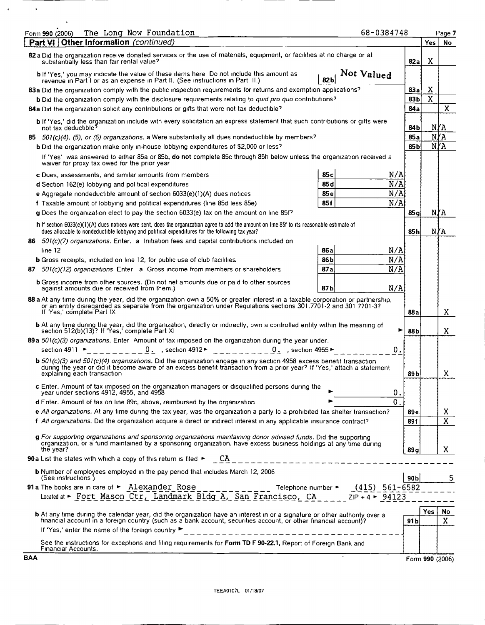| The Long Now Foundation<br>Form 990 (2006)                                                                                                                                                                                                                                      | 68-0384748     |                 |                 | Page 7    |
|---------------------------------------------------------------------------------------------------------------------------------------------------------------------------------------------------------------------------------------------------------------------------------|----------------|-----------------|-----------------|-----------|
| Part VI Other Information (continued)                                                                                                                                                                                                                                           |                |                 | Yes             | <b>No</b> |
| 82 a Did the organization receive donated services or the use of materials, equipment, or facilities at no charge or at<br>substantially less than fair rental value?                                                                                                           |                | 82al            | X               |           |
| b If 'Yes,' you may indicate the value of these items here Do not include this amount as<br>revenue in Part I or as an expense in Part II. (See instructions in Part III.)                                                                                                      | Not Valued     |                 |                 |           |
| 83a Did the organization comply with the public inspection requirements for returns and exemption applications?                                                                                                                                                                 |                | 83а             | x               |           |
| b Did the organization comply with the disclosure requirements relating to quid pro quo contributions?                                                                                                                                                                          |                | 83Ь             | X               |           |
| 84a Did the organization solicit any contributions or gifts that were not tax deductible?                                                                                                                                                                                       |                | 84a             |                 | X         |
| <b>b</b> If 'Yes,' did the organization include with every solicitation an express statement that such contributions or gifts were<br>not tax deductible <sup>5</sup>                                                                                                           |                | 84 b            |                 | NYA       |
| $501(c)(4)$ , (5), or (6) organizations. a Were substantially all dues nondeductible by members?<br>85.                                                                                                                                                                         |                | 85a             |                 | N∤A       |
| <b>b</b> Did the organization make only in-house lobbying expenditures of \$2,000 or less?                                                                                                                                                                                      |                | 85b             |                 | N∤A       |
| If 'Yes' was answered to either 85a or 85b, do not complete 85c through 85h below unless the organization received a<br>waiver for proxy tax owed for the prior year                                                                                                            |                |                 |                 |           |
| c Dues, assessments, and similar amounts from members                                                                                                                                                                                                                           | 85c<br>N/A     |                 |                 |           |
| d Section 162(e) lobbying and political expenditures                                                                                                                                                                                                                            | N/A<br>85 d    |                 |                 |           |
| e Aggregate nondeductible amount of section $6033(e)(1)(A)$ dues notices                                                                                                                                                                                                        | N/A<br>85e     |                 |                 |           |
| f Taxable amount of lobbying and political expenditures (line 85d less 85e)                                                                                                                                                                                                     | N/A<br>85f     |                 |                 |           |
| g Does the organization elect to pay the section 6033(e) tax on the amount on line 85f?                                                                                                                                                                                         |                | 85 a            |                 | NYA       |
| h if section 6033(e)(1)(A) dues notices were sent, does the organization agree to add the amount on line 85f to its reasonable estimate of                                                                                                                                      |                |                 |                 |           |
| dues allocable to nondeductible lobbying and political expenditures for the following tax year?<br>86 501(c)(7) organizations. Enter. a Initiation fees and capital contributions included on                                                                                   |                | 85 h            |                 | N∤A       |
| line 12                                                                                                                                                                                                                                                                         | N/A<br>86 a    |                 |                 |           |
| <b>b</b> Gross receipts, included on line 12, for public use of club facilities                                                                                                                                                                                                 | N/A<br>86 b    |                 |                 |           |
|                                                                                                                                                                                                                                                                                 | N/A            |                 |                 |           |
| 87 501(c)(12) organizations Enter. a Gross income from members or shareholders.                                                                                                                                                                                                 | 87 a           |                 |                 |           |
| <b>b</b> Gross income from other sources. (Do not net amounts due or paid to other sources<br>against amounts due or received from them.)                                                                                                                                       | 87Ь<br>N/A     |                 |                 |           |
| 88 a At any time during the year, did the organization own a 50% or greater interest in a taxable corporation or partnership,<br>or an entity disregarded as separate from the organization under Regulations sections 301.7701-2 and 301 7701-3?<br>If 'Yes,' complete Part IX |                | 88 a            |                 | X         |
| <b>b</b> At any time during the year, did the organization, directly or indirectly, own a controlled entity within the meaning of section 512(b)(13)? If 'Yes,' complete Part XI                                                                                                |                | 88b             |                 | X         |
| 89a 501(c)(3) organizations. Enter Amount of tax imposed on the organization during the year under.                                                                                                                                                                             |                |                 |                 |           |
| $0.$ , section 4912 $\blacktriangleright$<br>section 4911 ►<br>0. , section $4955 \blacktriangleright$                                                                                                                                                                          | $\mathbf 0$ .  |                 |                 |           |
| b 501(c)(3) and 501(c)(4) organizations. Did the organization engage in any section 4958 excess benefit transaction<br>during the year or did it become aware of an excess benefit transaction from a prior year? If 'Yes,' attach a statement<br>explaining each transaction   |                | 89 Ы            |                 | X.        |
|                                                                                                                                                                                                                                                                                 |                |                 |                 |           |
| c Enter. Amount of tax imposed on the organization managers or disqualified persons during the<br>year under sections 4912, 4955, and 4958                                                                                                                                      | 0.             |                 |                 |           |
| <b>d</b> Enter. Amount of tax on line 89c, above, reimbursed by the organization                                                                                                                                                                                                | $\mathbf{0}$ . |                 |                 |           |
| e All organizations. At any time during the tax year, was the organization a party to a prohibited tax shelter transaction?                                                                                                                                                     |                | 89 e            |                 | X         |
| f All organizations. Did the organization acquire a direct or indirect interest in any applicable insurance contract?                                                                                                                                                           |                | 89 f            |                 | X         |
| g For supporting organizations and sponsoring organizations maintaining donor advised funds. Did the supporting<br>organization, or a fund maintained by a sponsoring organization, have excess business holdings at any time during                                            |                |                 |                 |           |
| the year?                                                                                                                                                                                                                                                                       |                | 89 a            |                 | X         |
| <b>b</b> Number of employees employed in the pay period that includes March 12, 2006                                                                                                                                                                                            |                |                 |                 |           |
| (See instructions)                                                                                                                                                                                                                                                              |                | 90 <sub>b</sub> |                 | 5         |
| 91 a The books are in care of $\triangleright$ Alexander Rose _ _ _ _ _ _ _ _ _ _ Telephone number $\triangleright$ (415) 561-6582<br>Located at $\triangleright$ Fort Mason Ctr, Landmark Bldg A, San Francisco, CA _ _ _ _ ZIP + 4 $\triangleright$ 94123                     |                |                 |                 |           |
|                                                                                                                                                                                                                                                                                 |                |                 | Yes             | No        |
| <b>b</b> At any time during the calendar year, did the organization have an interest in or a signature or other authority over a financial account in a foreign country (such as a bank account, securities account, or other finan                                             |                | 91 b            |                 | X         |
| If 'Yes,' enter the name of the foreign country ▶<br>----------------------------------                                                                                                                                                                                         |                |                 |                 |           |
| See the instructions for exceptions and filing requirements for Form TD F 90-22.1, Report of Foreign Bank and<br>Financial Accounts.                                                                                                                                            |                |                 |                 |           |
| <b>BAA</b>                                                                                                                                                                                                                                                                      |                |                 | Form 990 (2006) |           |

 $\qquad \qquad -$ 

 $\mathcal{A}=\mathcal{A}^{\mathcal{A}}$  , where  $\mathcal{A}^{\mathcal{A}}$ 

 $\overbrace{\hspace{25mm}}^{}$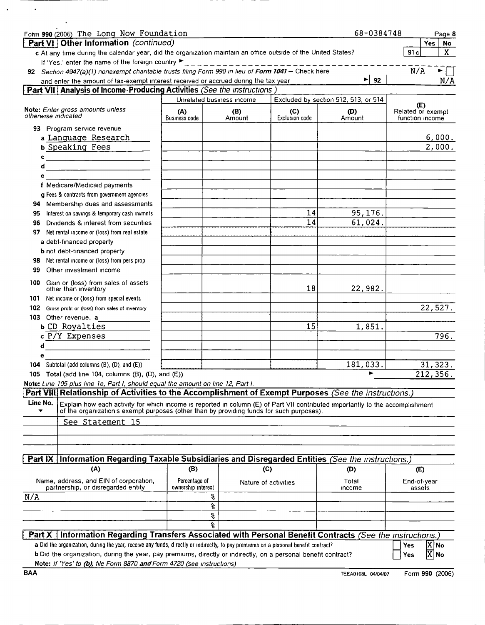| Form 990 (2006) The Long Now Foundation                                                                                                                                                                                         |                                     |                           |                       | 68-0384748                           | Page 8                                      |
|---------------------------------------------------------------------------------------------------------------------------------------------------------------------------------------------------------------------------------|-------------------------------------|---------------------------|-----------------------|--------------------------------------|---------------------------------------------|
| Part VI Other Information (continued)                                                                                                                                                                                           |                                     |                           |                       |                                      | <b>Yes</b><br>No                            |
| c At any time during the calendar year, did the organization maintain an office outside of the United States?                                                                                                                   |                                     |                           |                       |                                      | 91c<br>X.                                   |
| If 'Yes,' enter the name of the foreign country                                                                                                                                                                                 |                                     |                           |                       |                                      |                                             |
| 92 Section 4947(a)(1) nonexempt charitable trusts filing Form 990 in lieu of Form 1041 - Check here                                                                                                                             |                                     |                           |                       |                                      | N/A<br>►.                                   |
| and enter the amount of tax-exempt interest received or accrued during the tax year                                                                                                                                             |                                     |                           |                       | ►<br>92                              | N/A                                         |
| <b>Part VII</b> Analysis of Income-Producing Activities (See the instructions)                                                                                                                                                  |                                     |                           |                       |                                      |                                             |
|                                                                                                                                                                                                                                 |                                     | Unrelated business income |                       | Excluded by section 512, 513, or 514 |                                             |
| Note: Enter gross amounts unless<br>otherwise indicated                                                                                                                                                                         | (A)<br>Business code                | (B)<br>Amount             | (C)<br>Exclusion code | (D)<br>Amount                        | (E)<br>Related or exempt<br>function income |
| 93 Program service revenue                                                                                                                                                                                                      |                                     |                           |                       |                                      |                                             |
| a Language Research                                                                                                                                                                                                             |                                     |                           |                       |                                      | 6,000.                                      |
| <b>b</b> Speaking Fees                                                                                                                                                                                                          |                                     |                           |                       |                                      | 2,000.                                      |
| c                                                                                                                                                                                                                               |                                     |                           |                       |                                      |                                             |
| d<br><u> 1989 - Johann Stoff, Amerikaansk politiker (</u>                                                                                                                                                                       |                                     |                           |                       |                                      |                                             |
| е                                                                                                                                                                                                                               |                                     |                           |                       |                                      |                                             |
| f Medicare/Medicald payments                                                                                                                                                                                                    |                                     |                           |                       |                                      |                                             |
| <b>q</b> Fees & contracts from government agencies                                                                                                                                                                              |                                     |                           |                       |                                      |                                             |
| 94 Membership dues and assessments                                                                                                                                                                                              |                                     |                           |                       |                                      |                                             |
| Interest on savings & temporary cash invmnts<br>95                                                                                                                                                                              |                                     |                           | 14                    | 95,176.                              |                                             |
| Dividends & interest from securities<br>96                                                                                                                                                                                      |                                     |                           | 14                    | 61,024.                              |                                             |
| Net rental income or (loss) from real estate<br>97                                                                                                                                                                              |                                     |                           |                       |                                      |                                             |
| a debt-financed property                                                                                                                                                                                                        |                                     |                           |                       |                                      |                                             |
| <b>b</b> not debt-financed property                                                                                                                                                                                             |                                     |                           |                       |                                      |                                             |
| Net rental income or (loss) from pers prop<br>98                                                                                                                                                                                |                                     |                           |                       |                                      |                                             |
| Other investment income<br>99                                                                                                                                                                                                   |                                     |                           |                       |                                      |                                             |
| Gain or (loss) from sales of assets<br>100<br>other than inventory                                                                                                                                                              |                                     |                           | 18                    | 22,982.                              |                                             |
| Net income or (loss) from special events<br>101                                                                                                                                                                                 |                                     |                           |                       |                                      |                                             |
| 102 Gross profit or (loss) from sales of inventory                                                                                                                                                                              |                                     |                           |                       |                                      | 22,527.                                     |
| 103 Other revenue. a                                                                                                                                                                                                            |                                     |                           |                       |                                      |                                             |
| <b>b</b> CD Royalties                                                                                                                                                                                                           |                                     |                           | 15                    | 1,851.                               |                                             |
| c P/Y Expenses                                                                                                                                                                                                                  |                                     |                           |                       |                                      | 796.                                        |
| d                                                                                                                                                                                                                               |                                     |                           |                       |                                      |                                             |
| е                                                                                                                                                                                                                               |                                     |                           |                       | 181,033.                             |                                             |
| 104 Subtotal (add columns $(B)$ , $(D)$ , and $(E)$ )<br>105 Total (add line 104, columns (B), (D), and (E))                                                                                                                    |                                     |                           |                       |                                      | 31, 323.<br>212,356.                        |
|                                                                                                                                                                                                                                 |                                     |                           |                       |                                      |                                             |
| Note: Line 105 plus line 1e, Part I, should equal the amount on line 12, Part I.<br><b>Part VIII Relationship of Activities to the Accomplishment of Exempt Purposes (See the instructions.)</b>                                |                                     |                           |                       |                                      |                                             |
| Line No.                                                                                                                                                                                                                        |                                     |                           |                       |                                      |                                             |
| Explain how each activity for which income is reported in column (E) of Part VII contributed importantly to the accomplishment<br>of the organization's exempt purposes (other than by providing funds for such purposes).<br>▼ |                                     |                           |                       |                                      |                                             |
| See Statement 15                                                                                                                                                                                                                |                                     |                           |                       |                                      |                                             |
|                                                                                                                                                                                                                                 |                                     |                           |                       |                                      |                                             |
|                                                                                                                                                                                                                                 |                                     |                           |                       |                                      |                                             |
| Part IX Information Regarding Taxable Subsidiaries and Disregarded Entities (See the instructions.)                                                                                                                             |                                     |                           |                       |                                      |                                             |
| (A)                                                                                                                                                                                                                             | (B)                                 |                           | (C)                   | (D)                                  | (E)                                         |
|                                                                                                                                                                                                                                 |                                     |                           |                       |                                      |                                             |
| Name, address, and EIN of corporation,<br>partnership, or disregarded entity                                                                                                                                                    | Percentage of<br>ownership interest |                           | Nature of activities  | Total<br>income                      | End-of-year<br>assets                       |
| N/A                                                                                                                                                                                                                             |                                     | ႜૢ                        |                       |                                      |                                             |
|                                                                                                                                                                                                                                 |                                     | န္                        |                       |                                      |                                             |
|                                                                                                                                                                                                                                 |                                     | ٩,                        |                       |                                      |                                             |
|                                                                                                                                                                                                                                 |                                     | る                         |                       |                                      |                                             |
| Part X   Information Regarding Transfers Associated with Personal Benefit Contracts (See the instructions.)                                                                                                                     |                                     |                           |                       |                                      |                                             |
| a Did the organization, during the year, receive any funds, directly or indirectly, to pay premiums on a personal benefit contract?                                                                                             |                                     |                           |                       |                                      | X No<br><b>Yes</b>                          |
| b Did the organization, during the year, pay premiums, directly or indirectly, on a personal benefit contract?                                                                                                                  |                                     |                           |                       |                                      | $ X $ No<br>Yes                             |
| Note: If 'Yes' to (b), file Form 8870 and Form 4720 (see instructions)                                                                                                                                                          |                                     |                           |                       |                                      |                                             |

- - -

 $\sim$   $-$ 

\_\_\_\_\_\_\_\_\_

 $\sim$   $\star$ 

 $\mathcal{A}$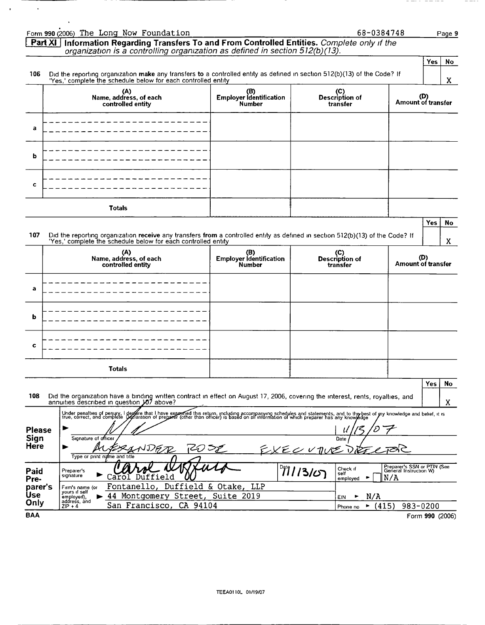|                               | Form 990 (2006) The Long Now Foundation                                                                                                                                                                                                                                                              |                                                        | 68-0384748                              | Page 9                                                       |
|-------------------------------|------------------------------------------------------------------------------------------------------------------------------------------------------------------------------------------------------------------------------------------------------------------------------------------------------|--------------------------------------------------------|-----------------------------------------|--------------------------------------------------------------|
|                               | Information Regarding Transfers To and From Controlled Entities. Complete only if the<br>Part XI<br>organization is a controlling organization as defined in section 512(b)(13).                                                                                                                     |                                                        |                                         |                                                              |
|                               |                                                                                                                                                                                                                                                                                                      |                                                        |                                         | Yes<br>No                                                    |
| 106                           | Did the reporting organization make any transfers to a controlled entity as defined in section 512(b)(13) of the Code? If<br>'Yes,' complete the schedule below for each controlled entity                                                                                                           |                                                        |                                         | X                                                            |
|                               | (A)<br>Name, address, of each<br>controlled entity                                                                                                                                                                                                                                                   | (B)<br>Employer Identification<br><b>Number</b>        | (C)<br>Description of<br>transfer       | (D)<br>Amount of transfer                                    |
| a                             |                                                                                                                                                                                                                                                                                                      |                                                        |                                         |                                                              |
| b                             |                                                                                                                                                                                                                                                                                                      |                                                        |                                         |                                                              |
| c                             |                                                                                                                                                                                                                                                                                                      |                                                        |                                         |                                                              |
|                               | <b>Totals</b>                                                                                                                                                                                                                                                                                        |                                                        |                                         |                                                              |
| 107                           | Did the reporting organization receive any transfers from a controlled entity as defined in section 512(b)(13) of the Code? If<br>'Yes,' complete the schedule below for each controlled entity                                                                                                      |                                                        |                                         | Yes<br>No<br>X                                               |
|                               | (A)<br>Name, address, of each<br>controlled entity                                                                                                                                                                                                                                                   | (B)<br><b>Employer identification</b><br><b>Number</b> | (C)<br>Description of<br>transfer       | (D)<br>Amount of transfer                                    |
| а                             |                                                                                                                                                                                                                                                                                                      |                                                        |                                         |                                                              |
| b                             |                                                                                                                                                                                                                                                                                                      |                                                        |                                         |                                                              |
| c                             |                                                                                                                                                                                                                                                                                                      |                                                        |                                         |                                                              |
|                               | Totals                                                                                                                                                                                                                                                                                               |                                                        |                                         |                                                              |
| 108                           | Did the organization have a binding written contract in effect on August 17, 2006, covering the interest, rents, royalties, and<br>annuities described in question 107 above?                                                                                                                        |                                                        |                                         | Yes<br>No<br>X.                                              |
| Please<br>Sign<br><b>Here</b> | Under penalties of periury, I degare that I have exammed this return, including accompanying schedules and statements, and to the best of my knowledge and belief, it is<br>true, correct, and complete yeclaration of preparer (<br>Signature of officer<br>▶<br>مە<br>Type or print name and title | تمب                                                    | $\iota\iota$<br>Date<br>EXEC UTUE       |                                                              |
| Paid<br>Pre-                  | Preparer's<br>signature                                                                                                                                                                                                                                                                              |                                                        | 7713107<br>Check if<br>self<br>employed | Preparer's SSN or PTIN (See<br>General Instruction W)<br>N/A |
| parer's<br><b>Use</b><br>Only | Fontanello, Duffield & Otake, LLP<br>Firm's name (or<br>yours if self<br>44 Montgomery Street, Suite 2019<br>employed),<br>address, and<br>San Francisco, CA 94104<br>$ZIP + 4$                                                                                                                      |                                                        | N/A<br>EIN<br>(415)<br>Phone no         | 983-0200                                                     |
| <b>BAA</b>                    |                                                                                                                                                                                                                                                                                                      |                                                        |                                         | Form 990 (2006)                                              |

 $- - - -$ 

 $\mathcal{A}^{\text{max}}_{\text{max}}$  and  $\mathcal{A}^{\text{max}}_{\text{max}}$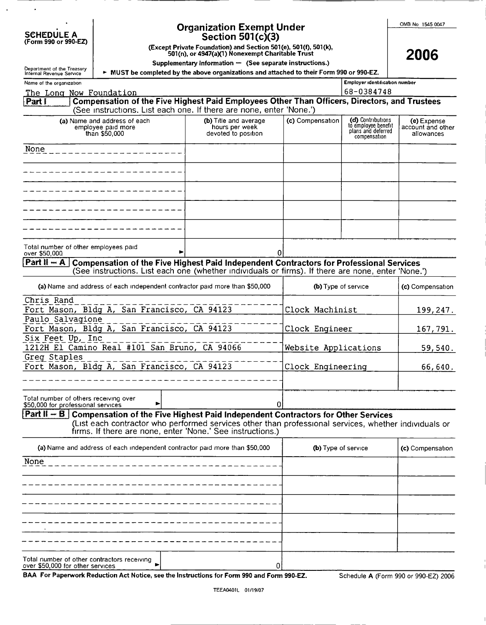| <b>SCHEDULE A</b> |  |
|-------------------|--|
|                   |  |
|                   |  |

 $\cdot$ 

## Organizati\_on Exempt Under

OMB No 1545 0047

| SCHEDULE A<br>(Form 990 or 990-EZ) | Section $501(c)(3)$ |
|------------------------------------|---------------------|
|                                    |                     |

(Except Private Foundation) and Section 501 (e), 501(f), 501(k), 501(n), or 4947(a)(1) Nonexempt Charitable Trust

Supplementary Information — (See separate instructions.)

2006

| Department of the Treasury<br>Internal Revenue Service |                                                                                                                                                                                                                                                                                                                                                                                                                                                                                                                                                                                                                                                                                                                                                                                                                                                                                                                                                                                                                                                                                                                                                                                                                                                                                                                                                                                                                               | MUST be completed by the above organizations and attached to their Form 990 or 990-EZ. |                  |                                                                                |                                                |
|--------------------------------------------------------|-------------------------------------------------------------------------------------------------------------------------------------------------------------------------------------------------------------------------------------------------------------------------------------------------------------------------------------------------------------------------------------------------------------------------------------------------------------------------------------------------------------------------------------------------------------------------------------------------------------------------------------------------------------------------------------------------------------------------------------------------------------------------------------------------------------------------------------------------------------------------------------------------------------------------------------------------------------------------------------------------------------------------------------------------------------------------------------------------------------------------------------------------------------------------------------------------------------------------------------------------------------------------------------------------------------------------------------------------------------------------------------------------------------------------------|----------------------------------------------------------------------------------------|------------------|--------------------------------------------------------------------------------|------------------------------------------------|
| Name of the organization                               |                                                                                                                                                                                                                                                                                                                                                                                                                                                                                                                                                                                                                                                                                                                                                                                                                                                                                                                                                                                                                                                                                                                                                                                                                                                                                                                                                                                                                               |                                                                                        |                  | Employer identification number                                                 |                                                |
| The Long Now Foundation                                |                                                                                                                                                                                                                                                                                                                                                                                                                                                                                                                                                                                                                                                                                                                                                                                                                                                                                                                                                                                                                                                                                                                                                                                                                                                                                                                                                                                                                               |                                                                                        |                  | 68-0384748                                                                     |                                                |
| Part F                                                 | Compensation of the Five Highest Paid Employees Other Than Officers, Directors, and Trustees                                                                                                                                                                                                                                                                                                                                                                                                                                                                                                                                                                                                                                                                                                                                                                                                                                                                                                                                                                                                                                                                                                                                                                                                                                                                                                                                  |                                                                                        |                  |                                                                                |                                                |
|                                                        | (See instructions. List each one. If there are none, enter 'None.')                                                                                                                                                                                                                                                                                                                                                                                                                                                                                                                                                                                                                                                                                                                                                                                                                                                                                                                                                                                                                                                                                                                                                                                                                                                                                                                                                           |                                                                                        |                  |                                                                                |                                                |
|                                                        | (a) Name and address of each<br>employee paid more                                                                                                                                                                                                                                                                                                                                                                                                                                                                                                                                                                                                                                                                                                                                                                                                                                                                                                                                                                                                                                                                                                                                                                                                                                                                                                                                                                            | (b) Title and average<br>hours per week<br>devoted to position                         | (c) Compensation | (d) Contributions<br>to employee benefit<br>plans and deferred<br>compensation | (e) Expense<br>account and other<br>allowances |
| None                                                   |                                                                                                                                                                                                                                                                                                                                                                                                                                                                                                                                                                                                                                                                                                                                                                                                                                                                                                                                                                                                                                                                                                                                                                                                                                                                                                                                                                                                                               |                                                                                        |                  |                                                                                |                                                |
|                                                        |                                                                                                                                                                                                                                                                                                                                                                                                                                                                                                                                                                                                                                                                                                                                                                                                                                                                                                                                                                                                                                                                                                                                                                                                                                                                                                                                                                                                                               |                                                                                        |                  |                                                                                |                                                |
|                                                        |                                                                                                                                                                                                                                                                                                                                                                                                                                                                                                                                                                                                                                                                                                                                                                                                                                                                                                                                                                                                                                                                                                                                                                                                                                                                                                                                                                                                                               |                                                                                        |                  |                                                                                |                                                |
|                                                        |                                                                                                                                                                                                                                                                                                                                                                                                                                                                                                                                                                                                                                                                                                                                                                                                                                                                                                                                                                                                                                                                                                                                                                                                                                                                                                                                                                                                                               |                                                                                        |                  |                                                                                |                                                |
|                                                        |                                                                                                                                                                                                                                                                                                                                                                                                                                                                                                                                                                                                                                                                                                                                                                                                                                                                                                                                                                                                                                                                                                                                                                                                                                                                                                                                                                                                                               |                                                                                        |                  |                                                                                |                                                |
| over \$50,000                                          |                                                                                                                                                                                                                                                                                                                                                                                                                                                                                                                                                                                                                                                                                                                                                                                                                                                                                                                                                                                                                                                                                                                                                                                                                                                                                                                                                                                                                               |                                                                                        |                  |                                                                                |                                                |
| $Part II - A$                                          |                                                                                                                                                                                                                                                                                                                                                                                                                                                                                                                                                                                                                                                                                                                                                                                                                                                                                                                                                                                                                                                                                                                                                                                                                                                                                                                                                                                                                               |                                                                                        |                  |                                                                                |                                                |
|                                                        |                                                                                                                                                                                                                                                                                                                                                                                                                                                                                                                                                                                                                                                                                                                                                                                                                                                                                                                                                                                                                                                                                                                                                                                                                                                                                                                                                                                                                               |                                                                                        |                  |                                                                                | (c) Compensation                               |
| Chris Rand                                             |                                                                                                                                                                                                                                                                                                                                                                                                                                                                                                                                                                                                                                                                                                                                                                                                                                                                                                                                                                                                                                                                                                                                                                                                                                                                                                                                                                                                                               |                                                                                        |                  |                                                                                | 199,247.                                       |
|                                                        |                                                                                                                                                                                                                                                                                                                                                                                                                                                                                                                                                                                                                                                                                                                                                                                                                                                                                                                                                                                                                                                                                                                                                                                                                                                                                                                                                                                                                               |                                                                                        |                  |                                                                                |                                                |
|                                                        |                                                                                                                                                                                                                                                                                                                                                                                                                                                                                                                                                                                                                                                                                                                                                                                                                                                                                                                                                                                                                                                                                                                                                                                                                                                                                                                                                                                                                               |                                                                                        |                  |                                                                                |                                                |
|                                                        | than \$50,000<br>Total number of other employees paid<br>01<br>Compensation of the Five Highest Paid Independent Contractors for Professional Services<br>(See instructions. List each one (whether individuals or firms). If there are none, enter 'None.')<br>(a) Name and address of each independent contractor paid more than \$50,000<br>(b) Type of service<br>Fort Mason, Bldg A, San Francisco, CA 94123<br>Clock Machinist<br>Paulo Salvagione<br>Fort Mason, Bldg A, San Francisco, CA 94123<br>Clock Engineer<br>167,791.<br>Six Feet Up, Inc<br>1212H El Camino Real #101 San Bruno, CA 94066<br>Website Applications<br>Greg Staples<br>Fort Mason, Bldg A, San Francisco, CA 94123<br>Clock Engineering<br>Total number of others receiving over<br>Ωl<br>\$50,000 for professional services<br><b>Part II – B</b> Compensation of the Five Highest Paid Independent Contractors for Other Services<br>(List each contractor who performed services other than professional services, whether individuals or<br>firms. If there are none, enter 'None.' See instructions.)<br>(a) Name and address of each independent contractor paid more than \$50,000<br>(b) Type of service<br>Total number of other contractors receiving<br>0<br>over \$50,000 for other services<br>BAA For Paperwork Reduction Act Notice, see the Instructions for Form 990 and Form 990-EZ.<br>Schedule A (Form 990 or 990-EZ) 2006 | 59,540.                                                                                |                  |                                                                                |                                                |
|                                                        |                                                                                                                                                                                                                                                                                                                                                                                                                                                                                                                                                                                                                                                                                                                                                                                                                                                                                                                                                                                                                                                                                                                                                                                                                                                                                                                                                                                                                               |                                                                                        |                  |                                                                                | 66,640.                                        |
|                                                        |                                                                                                                                                                                                                                                                                                                                                                                                                                                                                                                                                                                                                                                                                                                                                                                                                                                                                                                                                                                                                                                                                                                                                                                                                                                                                                                                                                                                                               |                                                                                        |                  |                                                                                |                                                |
|                                                        |                                                                                                                                                                                                                                                                                                                                                                                                                                                                                                                                                                                                                                                                                                                                                                                                                                                                                                                                                                                                                                                                                                                                                                                                                                                                                                                                                                                                                               |                                                                                        |                  |                                                                                |                                                |
|                                                        |                                                                                                                                                                                                                                                                                                                                                                                                                                                                                                                                                                                                                                                                                                                                                                                                                                                                                                                                                                                                                                                                                                                                                                                                                                                                                                                                                                                                                               |                                                                                        |                  |                                                                                |                                                |
|                                                        |                                                                                                                                                                                                                                                                                                                                                                                                                                                                                                                                                                                                                                                                                                                                                                                                                                                                                                                                                                                                                                                                                                                                                                                                                                                                                                                                                                                                                               |                                                                                        |                  |                                                                                |                                                |
|                                                        |                                                                                                                                                                                                                                                                                                                                                                                                                                                                                                                                                                                                                                                                                                                                                                                                                                                                                                                                                                                                                                                                                                                                                                                                                                                                                                                                                                                                                               |                                                                                        |                  |                                                                                | (c) Compensation                               |
| None                                                   |                                                                                                                                                                                                                                                                                                                                                                                                                                                                                                                                                                                                                                                                                                                                                                                                                                                                                                                                                                                                                                                                                                                                                                                                                                                                                                                                                                                                                               |                                                                                        |                  |                                                                                |                                                |
|                                                        |                                                                                                                                                                                                                                                                                                                                                                                                                                                                                                                                                                                                                                                                                                                                                                                                                                                                                                                                                                                                                                                                                                                                                                                                                                                                                                                                                                                                                               |                                                                                        |                  |                                                                                |                                                |
|                                                        |                                                                                                                                                                                                                                                                                                                                                                                                                                                                                                                                                                                                                                                                                                                                                                                                                                                                                                                                                                                                                                                                                                                                                                                                                                                                                                                                                                                                                               |                                                                                        |                  |                                                                                |                                                |
|                                                        |                                                                                                                                                                                                                                                                                                                                                                                                                                                                                                                                                                                                                                                                                                                                                                                                                                                                                                                                                                                                                                                                                                                                                                                                                                                                                                                                                                                                                               |                                                                                        |                  |                                                                                |                                                |
|                                                        |                                                                                                                                                                                                                                                                                                                                                                                                                                                                                                                                                                                                                                                                                                                                                                                                                                                                                                                                                                                                                                                                                                                                                                                                                                                                                                                                                                                                                               |                                                                                        |                  |                                                                                |                                                |
|                                                        |                                                                                                                                                                                                                                                                                                                                                                                                                                                                                                                                                                                                                                                                                                                                                                                                                                                                                                                                                                                                                                                                                                                                                                                                                                                                                                                                                                                                                               |                                                                                        |                  |                                                                                |                                                |
|                                                        |                                                                                                                                                                                                                                                                                                                                                                                                                                                                                                                                                                                                                                                                                                                                                                                                                                                                                                                                                                                                                                                                                                                                                                                                                                                                                                                                                                                                                               |                                                                                        |                  |                                                                                |                                                |

Schedule A (Form 990 or 990-EZ) 2006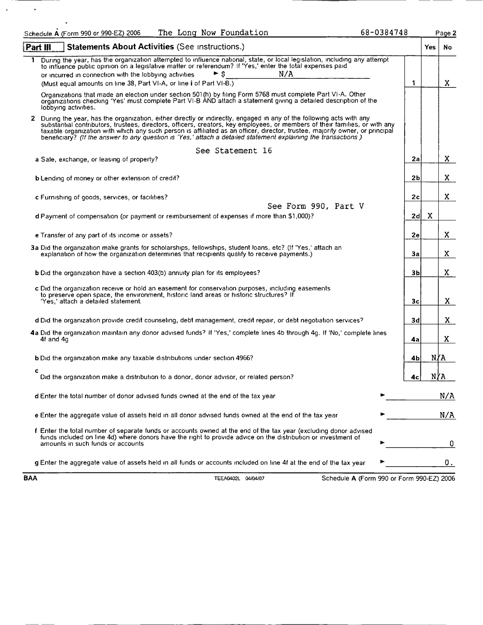| 68-0384748<br>The Long Now Foundation<br>Schedule A (Form 990 or 990-EZ) 2006                                                                                                                                                                                                                                                                                                                                                                                                                          |                |     | Page 2 |
|--------------------------------------------------------------------------------------------------------------------------------------------------------------------------------------------------------------------------------------------------------------------------------------------------------------------------------------------------------------------------------------------------------------------------------------------------------------------------------------------------------|----------------|-----|--------|
| Statements About Activities (See instructions.)<br>Part III                                                                                                                                                                                                                                                                                                                                                                                                                                            |                | Yes | No.    |
| During the year, has the organization attempted to influence national, state, or local legislation, including any attempt<br>to influence public opinion on a legislative matter or referendum? If 'Yes,' enter the total expenses paid<br>N/A<br>► s<br>or incurred in connection with the lobbying activities.                                                                                                                                                                                       |                |     |        |
| (Must equal amounts on line 38, Part VI-A, or line i of Part VI-B.)                                                                                                                                                                                                                                                                                                                                                                                                                                    | 1              |     | X.     |
| Organizations that made an election under section 501(h) by filing Form 5768 must complete Part VI-A. Other<br>organizations checking 'Yes' must complete Part VI-B AND attach a statement giving a detailed description of the<br>lobbying activities.                                                                                                                                                                                                                                                |                |     |        |
| 2 During the year, has the organization, either directly or indirectly, engaged in any of the following acts with any<br>substantial contributors, trustees, directors, officers, creators, key employees, or members of their families, or with any<br>taxable organization with which any such person is affiliated as an officer, director, trustee, majority owner, or principal<br>beneficiary? (If the answer to any question is 'Yes,' attach a detailed statement explaining the transactions) |                |     |        |
| See Statement 16                                                                                                                                                                                                                                                                                                                                                                                                                                                                                       |                |     |        |
| a Sale, exchange, or leasing of property?                                                                                                                                                                                                                                                                                                                                                                                                                                                              | 2a             |     | X.     |
| <b>b</b> Lending of money or other extension of credit?                                                                                                                                                                                                                                                                                                                                                                                                                                                | 2 <sub>b</sub> |     | X.     |
| <b>c</b> Furnishing of goods, services, or facilities?                                                                                                                                                                                                                                                                                                                                                                                                                                                 | 2c             |     | X.     |
| See Form 990, Part V                                                                                                                                                                                                                                                                                                                                                                                                                                                                                   |                |     |        |
| d Payment of compensation (or payment or reimbursement of expenses if more than \$1,000)?                                                                                                                                                                                                                                                                                                                                                                                                              | 2d             | X   |        |
|                                                                                                                                                                                                                                                                                                                                                                                                                                                                                                        |                |     |        |
| e Transfer of any part of its income or assets?                                                                                                                                                                                                                                                                                                                                                                                                                                                        | 2e             |     | X.     |
| 3a Did the organization make grants for scholarships, fellowships, student loans, etc? (If 'Yes,' attach an<br>explanation of how the organization determines that recipients qualify to receive payments.)                                                                                                                                                                                                                                                                                            | За             |     | X.     |
| <b>b</b> Did the organization have a section 403(b) annuity plan for its employees?                                                                                                                                                                                                                                                                                                                                                                                                                    | 3b             |     | X.     |
| c Did the organization receive or hold an easement for conservation purposes, including easements<br>to preserve open space, the environment, historic land areas or historic structures? If<br>'Yes,' attach a detailed statement.                                                                                                                                                                                                                                                                    | Зс             |     | X.     |
| d Did the organization provide credit counseling, debt management, credit repair, or debt negotiation services?                                                                                                                                                                                                                                                                                                                                                                                        | 3d             |     | X.     |
| 4a Did the organization maintain any donor advised funds? If 'Yes,' complete lines 4b through 4g. If 'No,' complete lines<br>4f and 4q                                                                                                                                                                                                                                                                                                                                                                 | 4a             |     | X.     |
| <b>b</b> Did the organization make any taxable distributions under section 4966?                                                                                                                                                                                                                                                                                                                                                                                                                       | 4bj            | N∦A |        |
| c<br>Did the organization make a distribution to a donor, donor advisor, or related person?                                                                                                                                                                                                                                                                                                                                                                                                            | 4с             | N∤A |        |
| d Enter the total number of donor advised funds owned at the end of the tax year                                                                                                                                                                                                                                                                                                                                                                                                                       |                |     | N/A    |
| e Enter the aggregate value of assets held in all donor advised funds owned at the end of the tax year                                                                                                                                                                                                                                                                                                                                                                                                 |                |     | N/A    |
| f Enter the total number of separate funds or accounts owned at the end of the tax year (excluding donor advised<br>funds included on line 4d) where donors have the right to provide advice on the distribution or investment of<br>amounts in such funds or accounts                                                                                                                                                                                                                                 |                |     | 0      |
| g Enter the aggregate value of assets held in all funds or accounts included on line 4f at the end of the tax year                                                                                                                                                                                                                                                                                                                                                                                     |                |     | 0.     |

 $\mathcal{L}^{\pm}$ 

 $\sim$ 

BAA TEEA0402L 04/04/07 Schedule A (Form 990 or Form 990-EZ) 2006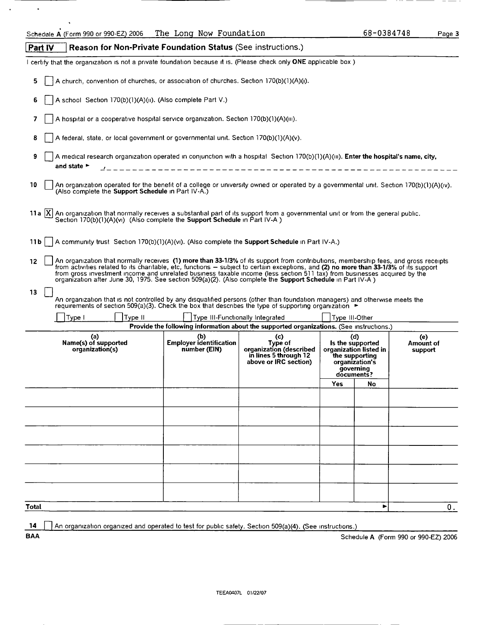|         | Schedule A (Form 990 or 990-EZ) 2006                                                                                                                                                                                                                                                                                                                                                                                                                                                                                     | The Long Now Foundation                               |                                                                                                    |                | 68-0384748                                                                                                       |                             | Page 3 |
|---------|--------------------------------------------------------------------------------------------------------------------------------------------------------------------------------------------------------------------------------------------------------------------------------------------------------------------------------------------------------------------------------------------------------------------------------------------------------------------------------------------------------------------------|-------------------------------------------------------|----------------------------------------------------------------------------------------------------|----------------|------------------------------------------------------------------------------------------------------------------|-----------------------------|--------|
| Part IV | <b>Reason for Non-Private Foundation Status (See instructions.)</b>                                                                                                                                                                                                                                                                                                                                                                                                                                                      |                                                       |                                                                                                    |                |                                                                                                                  |                             |        |
|         | certify that the organization is not a private foundation because it is. (Please check only ONE applicable box)                                                                                                                                                                                                                                                                                                                                                                                                          |                                                       |                                                                                                    |                |                                                                                                                  |                             |        |
| 5       | A church, convention of churches, or association of churches. Section 170(b)(1)(A)(i).                                                                                                                                                                                                                                                                                                                                                                                                                                   |                                                       |                                                                                                    |                |                                                                                                                  |                             |        |
| 6       | A school Section 170(b)(1)(A)(ii). (Also complete Part V.)                                                                                                                                                                                                                                                                                                                                                                                                                                                               |                                                       |                                                                                                    |                |                                                                                                                  |                             |        |
| 7       | A hospital or a cooperative hospital service organization. Section 170(b)(1)(A)(iii).                                                                                                                                                                                                                                                                                                                                                                                                                                    |                                                       |                                                                                                    |                |                                                                                                                  |                             |        |
| 8       | A federal, state, or local government or governmental unit. Section 170(b)(1)(A)(v).                                                                                                                                                                                                                                                                                                                                                                                                                                     |                                                       |                                                                                                    |                |                                                                                                                  |                             |        |
| 9       | A medical research organization operated in conjunction with a hospital Section 170(b)(1)(A)(iii). Enter the hospital's name, city,<br>and state $\blacktriangleright$                                                                                                                                                                                                                                                                                                                                                   |                                                       | ------------------------------------                                                               |                |                                                                                                                  |                             |        |
| 10      | An organization operated for the benefit of a college or university owned or operated by a governmental unit. Section 170(b)(1)(A)(iv).<br>(Also complete the <b>Support Schedule</b> in Part IV-A.)                                                                                                                                                                                                                                                                                                                     |                                                       |                                                                                                    |                |                                                                                                                  |                             |        |
|         | 11a $ X $ An organization that normally receives a substantial part of its support from a governmental unit or from the general public.<br>Section 170(b)(1)(A)(vi) (Also complete the <b>Support Schedule</b> in Part IV-A)                                                                                                                                                                                                                                                                                             |                                                       |                                                                                                    |                |                                                                                                                  |                             |        |
| 11 b    | A community trust Section 170(b)(1)(A)(vi). (Also complete the <b>Support Schedule</b> in Part IV-A.)                                                                                                                                                                                                                                                                                                                                                                                                                    |                                                       |                                                                                                    |                |                                                                                                                  |                             |        |
| 12      | An organization that normally receives (1) more than 33-1/3% of its support from contributions, membership fees, and gross receipts<br>from activities related to its charitable, etc, functions – subject to certain exceptions, and (2) no more than 33-1/3% of its support<br>from gross investment income and unrelated business taxable income (less section 511 tax) from businesses acquired by the<br>organization after June 30, 1975. See section 509(a)(2). (Also complete the Support Schedule in Part IV-A) |                                                       |                                                                                                    |                |                                                                                                                  |                             |        |
| 13      | An organization that is not controlled by any disqualified persons (other than foundation managers) and otherwise meets the<br>requirements of section 509(a)(3). Check the box that describes the type of supporting organization ►                                                                                                                                                                                                                                                                                     |                                                       |                                                                                                    |                |                                                                                                                  |                             |        |
|         | Type II<br>Type I                                                                                                                                                                                                                                                                                                                                                                                                                                                                                                        |                                                       | Type III-Functionally Integrated                                                                   | Type III-Other |                                                                                                                  |                             |        |
|         |                                                                                                                                                                                                                                                                                                                                                                                                                                                                                                                          |                                                       | Provide the following information about the supported organizations. (See instructions.)           |                |                                                                                                                  |                             |        |
|         | (a)<br>Name(s) of supported<br>organization(s)                                                                                                                                                                                                                                                                                                                                                                                                                                                                           | (b)<br><b>Employer identification</b><br>number (EIN) | (c)<br><b>Type of</b><br>organization (described<br>in lines 5 through 12<br>above or IRC section) |                | (d)<br>Is the supported<br>organization listed in<br>the supporting<br>organization's<br>governing<br>documents? | (e)<br>Amount of<br>support |        |
|         |                                                                                                                                                                                                                                                                                                                                                                                                                                                                                                                          |                                                       |                                                                                                    | Yes            | No                                                                                                               |                             |        |
|         |                                                                                                                                                                                                                                                                                                                                                                                                                                                                                                                          |                                                       |                                                                                                    |                |                                                                                                                  |                             |        |
|         |                                                                                                                                                                                                                                                                                                                                                                                                                                                                                                                          |                                                       |                                                                                                    |                |                                                                                                                  |                             |        |
|         |                                                                                                                                                                                                                                                                                                                                                                                                                                                                                                                          |                                                       |                                                                                                    |                |                                                                                                                  |                             |        |
|         |                                                                                                                                                                                                                                                                                                                                                                                                                                                                                                                          |                                                       |                                                                                                    |                |                                                                                                                  |                             |        |
|         |                                                                                                                                                                                                                                                                                                                                                                                                                                                                                                                          |                                                       |                                                                                                    |                |                                                                                                                  |                             |        |
|         |                                                                                                                                                                                                                                                                                                                                                                                                                                                                                                                          |                                                       |                                                                                                    |                |                                                                                                                  |                             |        |
| Total   |                                                                                                                                                                                                                                                                                                                                                                                                                                                                                                                          |                                                       |                                                                                                    |                | ▶                                                                                                                |                             | 0.     |
|         |                                                                                                                                                                                                                                                                                                                                                                                                                                                                                                                          |                                                       |                                                                                                    |                |                                                                                                                  |                             |        |

14 An organization organized and operated to test for public safety. Section 509(a)(4). (See instructions.)<br>BAA Sched

 $\blacksquare$ 

 $\ddot{\phantom{a}}$ 

Schedule A (Form 990 or 990-EZ) 2006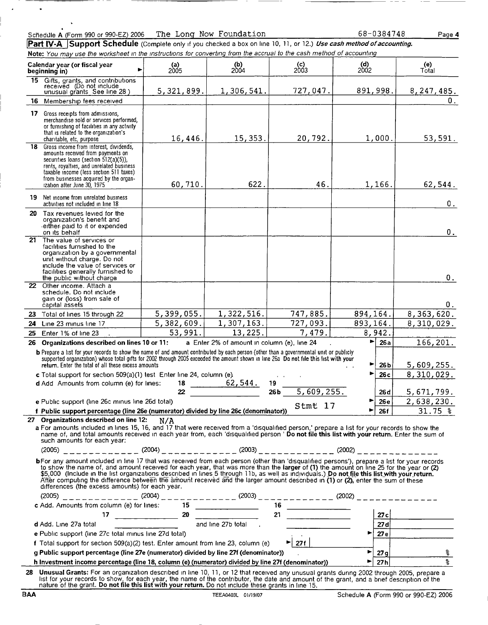|            | merchandise sold or services performed,<br>or furnishing of facilities in any activity                                                                                                                                                                                                                                                                                                                                                                                                                                                                                                                                        |            |                                             |                                                             |                       |                         |                                      |
|------------|-------------------------------------------------------------------------------------------------------------------------------------------------------------------------------------------------------------------------------------------------------------------------------------------------------------------------------------------------------------------------------------------------------------------------------------------------------------------------------------------------------------------------------------------------------------------------------------------------------------------------------|------------|---------------------------------------------|-------------------------------------------------------------|-----------------------|-------------------------|--------------------------------------|
|            | that is related to the organization's<br>charitable, etc, purpose                                                                                                                                                                                                                                                                                                                                                                                                                                                                                                                                                             | 16, 446.   | 15, 353.                                    | 20, 792.                                                    | 1,000.                |                         | 53,591.                              |
| 18         | Gross income from interest, dividends,<br>amounts received from payments on<br>securities loans (section $512(a)(5)$ ),<br>rents, royalties, and unrelated business<br>taxable income (less section 511 taxes)<br>from businesses acquired by the organ-<br>ization after June 30, 1975                                                                                                                                                                                                                                                                                                                                       | 60, 710.   | 622.                                        | 46.                                                         | 1, 166.               |                         | 62,544.                              |
|            | <b>19</b> Net income from unrelated business<br>activities not included in line 18                                                                                                                                                                                                                                                                                                                                                                                                                                                                                                                                            |            |                                             |                                                             |                       |                         | 0.                                   |
|            | 20 Tax revenues levied for the<br>organization's benefit and<br>either paid to it or expended.<br>on its behalf                                                                                                                                                                                                                                                                                                                                                                                                                                                                                                               |            |                                             |                                                             |                       |                         | 0.                                   |
|            | 21 The value of services or<br>facilities furnished to the<br>organization by a governmental<br>unit without charge. Do not<br>include the value of services or<br>facilities generally furnished to<br>the public without charge                                                                                                                                                                                                                                                                                                                                                                                             |            |                                             |                                                             |                       |                         | 0.                                   |
|            | 22 Other income. Attach a<br>schedule. Do not include<br>gain or (loss) from sale of<br>capital assets                                                                                                                                                                                                                                                                                                                                                                                                                                                                                                                        |            |                                             |                                                             |                       |                         | 0.                                   |
|            | 23 Total of lines 15 through 22                                                                                                                                                                                                                                                                                                                                                                                                                                                                                                                                                                                               | 5,399,055. | 1,322,516.                                  | 747,885.                                                    | 894, 164.             |                         | 8,363,620.                           |
|            | 24 Line 23 minus line 17                                                                                                                                                                                                                                                                                                                                                                                                                                                                                                                                                                                                      | 5,382,609. | 1, 307, 163.                                | 727,093.                                                    | 893,164.              |                         | 8,310,029.                           |
|            | 25 Enter 1% of line 23                                                                                                                                                                                                                                                                                                                                                                                                                                                                                                                                                                                                        | 53,991.    | $\overline{13,225}$ .                       | 7,479.                                                      | 8,942.                |                         |                                      |
|            | 26 Organizations described on lines 10 or 11:                                                                                                                                                                                                                                                                                                                                                                                                                                                                                                                                                                                 |            | a Enter 2% of amount in column (e), line 24 |                                                             | $\blacktriangleright$ | 26a                     | 166, 201.                            |
|            | b Prepare a list for your records to show the name of and amount contributed by each person (other than a governmental unit or publicly<br>supported organization) whose total gifts for 2002 through 2005 exceeded the amount shown in line 26a Do not file this list with your<br>return. Enter the total of all these excess amounts<br>c Total support for section 509(a)(1) test Enter line 24, column (e).                                                                                                                                                                                                              |            |                                             |                                                             | ▶                     | 26 <sub>b</sub><br>26 с | 5,609,255.<br>8,310,029.             |
|            | d Add Amounts from column (e) for lines:                                                                                                                                                                                                                                                                                                                                                                                                                                                                                                                                                                                      |            |                                             |                                                             |                       |                         |                                      |
|            |                                                                                                                                                                                                                                                                                                                                                                                                                                                                                                                                                                                                                               |            |                                             | $\frac{18}{22}$ $\frac{62,544}{266}$ $\frac{19}{5,609,255}$ |                       | 26 <sub>d</sub>         | 5,671,799.                           |
|            | e Public support (line 26c minus line 26d total)                                                                                                                                                                                                                                                                                                                                                                                                                                                                                                                                                                              |            |                                             |                                                             |                       | 26 e                    | 2,638,230.                           |
|            | f Public support percentage (line 26e (numerator) divided by line 26c (denominator))                                                                                                                                                                                                                                                                                                                                                                                                                                                                                                                                          |            |                                             | Stmt 17                                                     |                       | <b>26f</b>              | $31.75$ %                            |
|            | 27 Organizations described on line 12:                                                                                                                                                                                                                                                                                                                                                                                                                                                                                                                                                                                        | N/A        |                                             |                                                             |                       |                         |                                      |
|            | a For amounts included in lines 15, 16, and 17 that were received from a 'disqualified person,' prepare a list for your records to show the<br>name of, and total amounts received in each year from, each 'disqualified person ' Do not file this list with your return. Enter the sum of<br>such amounts for each year:                                                                                                                                                                                                                                                                                                     |            |                                             |                                                             |                       |                         |                                      |
|            |                                                                                                                                                                                                                                                                                                                                                                                                                                                                                                                                                                                                                               |            |                                             |                                                             |                       |                         |                                      |
|            | bFor any amount included in line 17 that was received from each person (other than 'disqualified persons'), prepare a list for your records<br>to show the name of, and amount received for each year, that was more than the larger of (1) the amount on line 25 for the year or (2)<br>\$5,000 (include in the list organizations described in lines 5 through 11b, as well as individuals.) Do not file this list with your return.<br>After computing the difference between the amount received and the larger amount described in (1) or (2), enter the sum of these<br>differences (the excess amounts) for each year. |            |                                             |                                                             |                       |                         |                                      |
|            | (2005) ____________ (2004) ____________ (2003) ____________ (2002) _____________                                                                                                                                                                                                                                                                                                                                                                                                                                                                                                                                              |            |                                             |                                                             |                       |                         |                                      |
|            | c Add. Amounts from column (e) for lines: 15                                                                                                                                                                                                                                                                                                                                                                                                                                                                                                                                                                                  |            |                                             | $\begin{array}{c c} \hline \end{array}$                     |                       |                         |                                      |
|            |                                                                                                                                                                                                                                                                                                                                                                                                                                                                                                                                                                                                                               |            |                                             | 21                                                          |                       | 27c                     |                                      |
|            | d Add. Line 27a total                                                                                                                                                                                                                                                                                                                                                                                                                                                                                                                                                                                                         |            | and line 27b total                          |                                                             |                       | 27 di                   |                                      |
|            | e Public support (line 27c total minus line 27d total)                                                                                                                                                                                                                                                                                                                                                                                                                                                                                                                                                                        |            |                                             |                                                             | ►                     | 27e                     |                                      |
|            | f Total support for section 509(a)(2) test. Enter amount from line 23, column (e)                                                                                                                                                                                                                                                                                                                                                                                                                                                                                                                                             |            |                                             | $\blacktriangleright$ 27f                                   |                       |                         |                                      |
|            | g Public support percentage (line 27e (numerator) divided by line 27f (denominator))                                                                                                                                                                                                                                                                                                                                                                                                                                                                                                                                          |            |                                             |                                                             | ▶                     | $27$ g                  | ole   مە                             |
|            | h Investment income percentage (line 18, column (e) (numerator) divided by line 27f (denominator))                                                                                                                                                                                                                                                                                                                                                                                                                                                                                                                            |            |                                             |                                                             | ►                     | 27h                     |                                      |
|            | 28 Unusual Grants: For an organization described in line 10, 11, or 12 that received any unusual grants during 2002 through 2005, prepare a<br>list for your records to show, for each year, the name of the contributor, the date and amount of the grant, and a brief description of the nature of the grant. Do not file this list with your return. Do not include these                                                                                                                                                                                                                                                  |            |                                             |                                                             |                       |                         |                                      |
| <b>BAA</b> |                                                                                                                                                                                                                                                                                                                                                                                                                                                                                                                                                                                                                               |            | TEEA0403L 01/19/07                          |                                                             |                       |                         | Schedule A (Form 990 or 990-EZ) 2006 |

#### Sclteddle A (Form 990 or 990-EZ) 2006

'

 $\ddot{\phantom{0}}$ 

17 Gross receipts from admissions,

Part IV-A Support Schedule (Complete only if you checked a box on line 10, 11, or 12.) Use cash method of accounting. Note: You may use the worksheet in the instructions for converting from the accrual to the cash method of accounting

b) (c) (d)

(005 | 2004 | 2003 | 2002

15 Gifts, grants, and contributions<br>received (Do not include<br>unusual grants\_See line 28) 5,321,899. 1,306,541. 727,047. 891,998. 8,247,485. 16 Membership fees received and the contract of the contract of the contract of the contract of the contract of the contract of the contract of the contract of the contract of the contract of the contract of the contract o

The Long Now Foundation 68-0384748 Page 4

Calendar year (or fiscal year beg inning in) > 2005 2003

(e) Total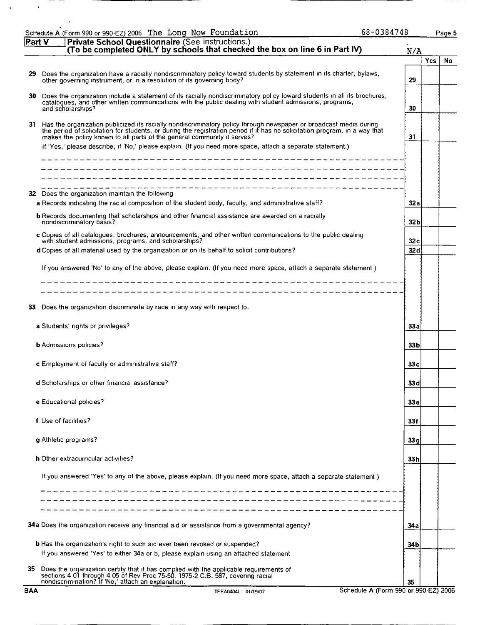|            | 68-0384748<br>Schedule A (Form 990 or 990-EZ) 2006 The Long Now Foundation                                                                                                                                                                                                                                                                                                                                                                   |      |      | Page 5 |
|------------|----------------------------------------------------------------------------------------------------------------------------------------------------------------------------------------------------------------------------------------------------------------------------------------------------------------------------------------------------------------------------------------------------------------------------------------------|------|------|--------|
| Part V     | Private School Questionnaire (See instructions.)<br>(To be completed ONLY by schools that checked the box on line 6 in Part IV)                                                                                                                                                                                                                                                                                                              | N/A  |      |        |
| 29         | Does the organization have a racially nondiscriminatory policy toward students by statement in its charter, bylaws,<br>other governing instrument, or in a resolution of its governing body?                                                                                                                                                                                                                                                 | 29   | Yes. | No     |
| 30.        | Does the organization include a statement of its racially nondiscriminatory policy toward students in all its brochures,<br>catalogues, and other written communications with the public dealing with student admissions, programs,<br>and scholarships?                                                                                                                                                                                     | 30   |      |        |
|            | 31 Has the organization publicized its racially nondiscriminatory policy through newspaper or broadcast media during<br>the period of solicitation for students, or during the registration period if it has no solicitation program, in a way that<br>makes the policy known to all parts of the general community it serves?<br>If 'Yes,' please describe, if 'No,' please explain. (If you need more space, attach a separate statement.) | 31   |      |        |
|            |                                                                                                                                                                                                                                                                                                                                                                                                                                              |      |      |        |
|            | 32 Does the organization maintain the following<br>a Records indicating the racial composition of the student body, faculty, and administrative staff?                                                                                                                                                                                                                                                                                       | 32a  |      |        |
|            | <b>b</b> Records documenting that scholarships and other financial assistance are awarded on a racially<br>nondiscriminatory basis?                                                                                                                                                                                                                                                                                                          | 32 b |      |        |
|            | c Copies of all catalogues, brochures, announcements, and other written communications to the public dealing<br>with student admissions, programs, and scholarships?                                                                                                                                                                                                                                                                         | 32 c |      |        |
|            | d Copies of all material used by the organization or on its behalf to solicit contributions?<br>If you answered 'No' to any of the above, please explain. (If you need more space, attach a separate statement)                                                                                                                                                                                                                              | 32 d |      |        |
|            |                                                                                                                                                                                                                                                                                                                                                                                                                                              |      |      |        |
| 33         | ---------------------------------<br>Does the organization discriminate by race in any way with respect to.                                                                                                                                                                                                                                                                                                                                  |      |      |        |
|            | a Students' rights or privileges?                                                                                                                                                                                                                                                                                                                                                                                                            | 33а  |      |        |
|            | <b>b</b> Admissions policies?                                                                                                                                                                                                                                                                                                                                                                                                                | 33 b |      |        |
|            | <b>c</b> Employment of faculty or administrative staff?                                                                                                                                                                                                                                                                                                                                                                                      | 33 с |      |        |
|            | d Scholarships or other financial assistance?                                                                                                                                                                                                                                                                                                                                                                                                | 33 d |      |        |
|            | e Educational policies?                                                                                                                                                                                                                                                                                                                                                                                                                      | 33 e |      |        |
|            | f Use of facilities?                                                                                                                                                                                                                                                                                                                                                                                                                         | 33f  |      |        |
|            | q Athletic programs?                                                                                                                                                                                                                                                                                                                                                                                                                         | 33 g |      |        |
|            | <b>h</b> Other extracurricular activities?                                                                                                                                                                                                                                                                                                                                                                                                   | 33 h |      |        |
|            | If you answered 'Yes' to any of the above, please explain. (If you need more space, attach a separate statement)                                                                                                                                                                                                                                                                                                                             |      |      |        |
|            |                                                                                                                                                                                                                                                                                                                                                                                                                                              |      |      |        |
|            | 34a Does the organization receive any financial aid or assistance from a governmental agency?                                                                                                                                                                                                                                                                                                                                                | 34 a |      |        |
|            | <b>b</b> Has the organization's right to such aid ever been revoked or suspended?                                                                                                                                                                                                                                                                                                                                                            | 34 b |      |        |
| 35         | If you answered 'Yes' to either 34a or b, please explain using an attached statement<br>Does the organization certify that it has complied with the applicable requirements of<br>sections 4 01 through 4 05 of Rev Proc 75-50, 1975-2 C.B. 587, covering racial                                                                                                                                                                             |      |      |        |
| <b>BAA</b> | nondiscrimination? If 'No,' attach an explanation.<br>Schedule A (Form 990 or 990-EZ) 2006<br>TEEA0404L 01/19/07                                                                                                                                                                                                                                                                                                                             | 35   |      |        |

 $\bar{\star}$ 

 $\langle \cdot \rangle$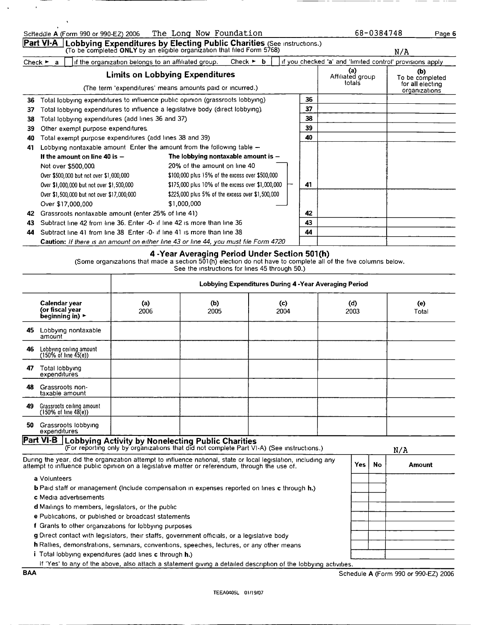|    | The Long Now Foundation<br>Schedule A (Form 990 or 990-EZ) 2006                                                                                                                                                   |    | 68-0384748                                                |                                                             | Page 6 |
|----|-------------------------------------------------------------------------------------------------------------------------------------------------------------------------------------------------------------------|----|-----------------------------------------------------------|-------------------------------------------------------------|--------|
|    | Part VI-A<br>Lobbying Expenditures by Electing Public Charities (See Instructions.)<br>(To be completed ONLY by an eligible organization that filed Form 5768)                                                    |    |                                                           | N/A                                                         |        |
|    | Check $\blacktriangleright$ b<br>if the organization belongs to an affiliated group.<br>Check $\blacktriangleright$ a                                                                                             |    | if you checked 'a' and 'limited control' provisions apply |                                                             |        |
|    | <b>Limits on Lobbying Expenditures</b><br>(The term 'expenditures' means amounts paid or incurred.)                                                                                                               |    | (a)<br>Affiliated group<br>totals                         | (b)<br>To be completed<br>for all electing<br>organizations |        |
| 36 | Total lobbying expenditures to influence public opinion (grassroots lobbying)                                                                                                                                     | 36 |                                                           |                                                             |        |
| 37 | Total lobbying expenditures to influence a legislative body (direct lobbying).                                                                                                                                    | 37 |                                                           |                                                             |        |
| 38 | Total lobbying expenditures (add lines 36 and 37)                                                                                                                                                                 | 38 |                                                           |                                                             |        |
| 39 | Other exempt purpose expenditures.                                                                                                                                                                                | 39 |                                                           |                                                             |        |
| 40 | Total exempt purpose expenditures (add lines 38 and 39)                                                                                                                                                           | 40 |                                                           |                                                             |        |
| 41 | Lobbying nontaxable amount Enter the amount from the following table $-$                                                                                                                                          |    |                                                           |                                                             |        |
|    | The lobbying nontaxable amount is $-$<br>If the amount on line 40 is $-$                                                                                                                                          |    |                                                           |                                                             |        |
|    | 20% of the amount on line 40<br>Not over \$500,000.                                                                                                                                                               |    |                                                           |                                                             |        |
|    | \$100,000 plus 15% of the excess over \$500,000<br>Over \$500,000 but not over \$1,000,000                                                                                                                        |    |                                                           |                                                             |        |
|    | \$175,000 plus 10% of the excess over \$1,000,000<br>Over \$1,000,000 but not over \$1,500,000                                                                                                                    | 41 |                                                           |                                                             |        |
|    | Over \$1,500,000 but not over \$17,000,000<br>\$225,000 plus 5% of the excess over \$1,500,000                                                                                                                    |    |                                                           |                                                             |        |
|    | \$1,000,000<br>Over \$17,000.000                                                                                                                                                                                  |    |                                                           |                                                             |        |
| 42 | Grassroots nontaxable amount (enter 25% of line 41)                                                                                                                                                               | 42 |                                                           |                                                             |        |
| 43 | Subtract line 42 from line 36. Enter -0- if line 42 is more than line 36                                                                                                                                          | 43 |                                                           |                                                             |        |
| 44 | Subtract line 41 from line 38 Enter -0- if line 41 is more than line 38                                                                                                                                           | 44 |                                                           |                                                             |        |
|    | <b>Caution:</b> If there is an amount on either line 43 or line 44, you must file Form 4720                                                                                                                       |    |                                                           |                                                             |        |
|    | 4 -Year Averaging Period Under Section 501(h)<br>(Some organizations that made a section 501(h) election do not have to complete all of the five columns below.<br>See the instructions for lines 45 through 50.) |    |                                                           |                                                             |        |

|     |                                                                                                                                                                                                                  |                                                                                                                                                       |             | Lobbying Expenditures During 4 - Year Averaging Period |             |           |              |
|-----|------------------------------------------------------------------------------------------------------------------------------------------------------------------------------------------------------------------|-------------------------------------------------------------------------------------------------------------------------------------------------------|-------------|--------------------------------------------------------|-------------|-----------|--------------|
|     | Calendar year<br>(or fiscal year<br>beginning in) $\blacktriangleright$                                                                                                                                          | (a)<br>2006                                                                                                                                           | (b)<br>2005 | (c)<br>2004                                            | (d)<br>2003 |           | (e)<br>Total |
| 45  | Lobbying nontaxable<br>amount                                                                                                                                                                                    |                                                                                                                                                       |             |                                                        |             |           |              |
| 46  | Lobbying ceiling amount<br>$(150\% \text{ of line } 45(e))$                                                                                                                                                      |                                                                                                                                                       |             |                                                        |             |           |              |
| 47  | Total lobbying<br>expenditures                                                                                                                                                                                   |                                                                                                                                                       |             |                                                        |             |           |              |
| 48  | Grassroots non-<br>taxable amount                                                                                                                                                                                |                                                                                                                                                       |             |                                                        |             |           |              |
| 49. | Grassroots ceiling amount<br>$(150\% \text{ of line } 48(e))$                                                                                                                                                    |                                                                                                                                                       |             |                                                        |             |           |              |
| 50  | Grassroots lobbying<br>expenditures                                                                                                                                                                              |                                                                                                                                                       |             |                                                        |             |           |              |
|     | Part VI-B                                                                                                                                                                                                        | <b>Lobbying Activity by Nonelecting Public Charities</b><br>(For reporting only by organizations that did not complete Part VI-A) (See instructions.) |             |                                                        |             |           | N/A          |
|     | During the year, did the organization attempt to influence national, state or local legislation, including any<br>attempt to influence public opinion on a legislative matter or referendum, through the use of. |                                                                                                                                                       |             |                                                        | <b>Yes</b>  | <b>No</b> | Amount       |
|     | a Volunteers                                                                                                                                                                                                     |                                                                                                                                                       |             |                                                        |             |           |              |
|     | <b>b</b> Paid staff or management (include compensation in expenses reported on lines c through h.)                                                                                                              |                                                                                                                                                       |             |                                                        |             |           |              |
|     | c Media advertisements                                                                                                                                                                                           |                                                                                                                                                       |             |                                                        |             |           |              |
|     | d Mailings to members, legislators, or the public                                                                                                                                                                |                                                                                                                                                       |             |                                                        |             |           |              |
|     | e Publications, or published or broadcast statements                                                                                                                                                             |                                                                                                                                                       |             |                                                        |             |           |              |
|     | f Grants to other organizations for lobbying purposes                                                                                                                                                            |                                                                                                                                                       |             |                                                        |             |           |              |
|     | g Direct contact with legislators, their staffs, government officials, or a legislative body                                                                                                                     |                                                                                                                                                       |             |                                                        |             |           |              |
|     | h Rallies, demonstrations, seminars, conventions, speeches, lectures, or any other means                                                                                                                         |                                                                                                                                                       |             |                                                        |             |           |              |
|     | i Total lobbying expenditures (add lines c through <b>h.</b> )                                                                                                                                                   |                                                                                                                                                       |             |                                                        |             |           |              |
|     | If 'Yes' to any of the above, also attach a statement giving a detailed description of the lobbying activities.                                                                                                  |                                                                                                                                                       |             |                                                        |             |           |              |

 $\overline{\phantom{a}}$ 

 $\sim$   $-$ 

 $\sim$ 

 $-$ 

\_\_

-

 $\sim$ 

 $\mathcal{A}^{\mathcal{A}}$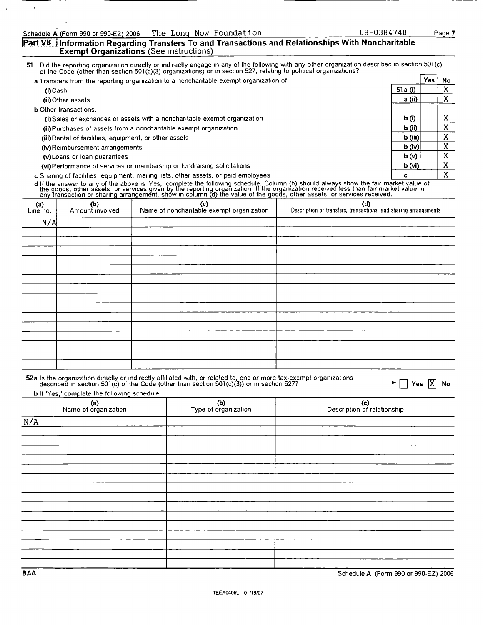$\overline{a}$ 

### Part VII Information Regarding Transfers To and Transactions and Relationships With Noncharitable Exempt Organizations (See instructions)

<sup>51</sup> Did the reporting organization directly or Indirectly engage in any of the followmg With any other organization described in section 50l(c) of the Code (other than section 50l(c)(3) organizations) or in section 527, relating to political organizations?

| a Transfers from the reporting organization to a noncharitable exempt organization of |                   | Yes | No |
|---------------------------------------------------------------------------------------|-------------------|-----|----|
| (i) Cash                                                                              | 51 a $(i)$        |     | v  |
| (ii) Other assets                                                                     | a (ii)            |     | л  |
| <b>b</b> Other transactions.                                                          |                   |     |    |
| (i) Sales or exchanges of assets with a noncharitable exempt organization             | b(i)              |     | x  |
| (ii) Purchases of assets from a noncharitable exempt organization.                    | $\mathbf b$ (ii)  |     |    |
| (iii) Rental of facilities, equipment, or other assets                                | $\mathbf b$ (iii) |     | x  |
| (iv) Reimbursement arrangements                                                       | $\mathbf{b}$ (iv) |     | x  |
| (v) Loans or loan quarantees                                                          | b(w)              |     | X  |
| (vi) Performance of services or membership or fundraising solicitations               | $\mathbf{b}$ (vi) |     | x  |
| c Sharing of facilities, equipment, mailing lists, other assets, or paid employees    | c                 |     | Χ  |

d If the answer to any of the above is 'Yes,' complete the following schedule. Column (b) should always show the fair market value of<br>the goods, other assets, or services given by the reporting organization. If the organiz

| (a)<br>Line no. | (b)<br>Amount involved | (c)<br>Name of noncharitable exempt organization | (d)<br>Description of transfers, transactions, and sharing arrangements |
|-----------------|------------------------|--------------------------------------------------|-------------------------------------------------------------------------|
| N/A             |                        |                                                  |                                                                         |
|                 |                        |                                                  |                                                                         |
|                 |                        |                                                  |                                                                         |
|                 |                        |                                                  |                                                                         |
|                 |                        |                                                  |                                                                         |
|                 |                        |                                                  |                                                                         |
|                 |                        |                                                  |                                                                         |
|                 |                        |                                                  |                                                                         |
|                 |                        |                                                  |                                                                         |
|                 |                        |                                                  |                                                                         |
|                 |                        |                                                  |                                                                         |
|                 |                        |                                                  |                                                                         |
|                 |                        |                                                  |                                                                         |
|                 |                        |                                                  |                                                                         |
|                 |                        |                                                  |                                                                         |
|                 |                        |                                                  |                                                                         |

| 52a Is the organization directly or indirectly affiliated with, or related to, one or more tax-exempt organizations<br>$\blacktriangleright \Box$ Yes $\overline{X}$ No<br>described in section 501(c) of the Code (other than section 501(c)(3)) or in section 527? |
|----------------------------------------------------------------------------------------------------------------------------------------------------------------------------------------------------------------------------------------------------------------------|
|                                                                                                                                                                                                                                                                      |

**b** If 'Yes,' complete the following schedule.

| (a)<br>Name of organization | (b)<br>Type of organization | (c)<br>Description of relationship |
|-----------------------------|-----------------------------|------------------------------------|
| N/A                         |                             |                                    |
|                             |                             |                                    |
|                             |                             |                                    |
|                             |                             |                                    |
|                             |                             |                                    |
|                             |                             |                                    |
|                             |                             |                                    |
|                             |                             |                                    |
|                             |                             |                                    |
|                             |                             |                                    |
|                             |                             |                                    |
|                             |                             |                                    |
|                             |                             |                                    |
|                             |                             |                                    |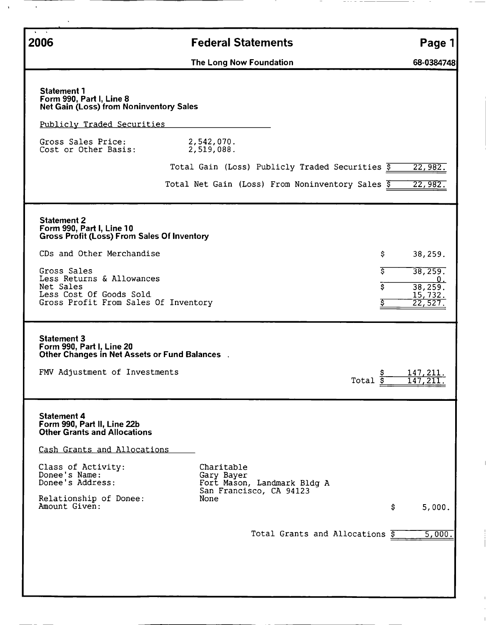| 2006                                                                                                                                                                                                                                                           | <b>Federal Statements</b>                                                                  | Page 1                                                                                                |
|----------------------------------------------------------------------------------------------------------------------------------------------------------------------------------------------------------------------------------------------------------------|--------------------------------------------------------------------------------------------|-------------------------------------------------------------------------------------------------------|
|                                                                                                                                                                                                                                                                | The Long Now Foundation                                                                    | 68-0384748                                                                                            |
| <b>Statement 1</b><br>Form 990, Part I, Line 8<br><b>Net Gain (Loss) from Noninventory Sales</b>                                                                                                                                                               |                                                                                            |                                                                                                       |
| Publicly Traded Securities                                                                                                                                                                                                                                     |                                                                                            |                                                                                                       |
| Gross Sales Price:<br>Cost or Other Basis:                                                                                                                                                                                                                     | 2,542,070.<br>2,519,088.                                                                   |                                                                                                       |
|                                                                                                                                                                                                                                                                | Total Gain (Loss) Publicly Traded Securities $\overline{s}$                                | 22,982.                                                                                               |
|                                                                                                                                                                                                                                                                | Total Net Gain (Loss) From Noninventory Sales \$                                           | 22,982.                                                                                               |
| <b>Statement 2</b><br>Form 990, Part I, Line 10<br><b>Gross Profit (Loss) From Sales Of Inventory</b><br>CDs and Other Merchandise<br>Gross Sales<br>Less Returns & Allowances<br>Net Sales<br>Less Cost Of Goods Sold<br>Gross Profit From Sales Of Inventory |                                                                                            | 38,259.<br>Ş.<br>इ<br>38,259.<br>0.<br>$\overline{\mathsf{s}}$<br>38,259.<br>15,732.<br>\$<br>22,527. |
| <b>Statement 3</b><br>Form 990, Part I, Line 20<br>Other Changes in Net Assets or Fund Balances.                                                                                                                                                               |                                                                                            |                                                                                                       |
| FMV Adjustment of Investments                                                                                                                                                                                                                                  |                                                                                            | 147,211.<br>Total \$<br><u>147,211.</u>                                                               |
| <b>Statement 4</b><br>Form 990, Part II, Line 22b<br><b>Other Grants and Allocations</b><br>Cash Grants and Allocations                                                                                                                                        |                                                                                            |                                                                                                       |
| Class of Activity:<br>Donee's Name:<br>Donee's Address:<br>Relationship of Donee:                                                                                                                                                                              | Charitable<br>Gary Bayer<br>Fort Mason, Landmark Bldg A<br>San Francisco, CA 94123<br>None |                                                                                                       |
| Amount Given:                                                                                                                                                                                                                                                  |                                                                                            | \$<br>5,000.                                                                                          |
|                                                                                                                                                                                                                                                                | Total Grants and Allocations \$                                                            | 5,000.                                                                                                |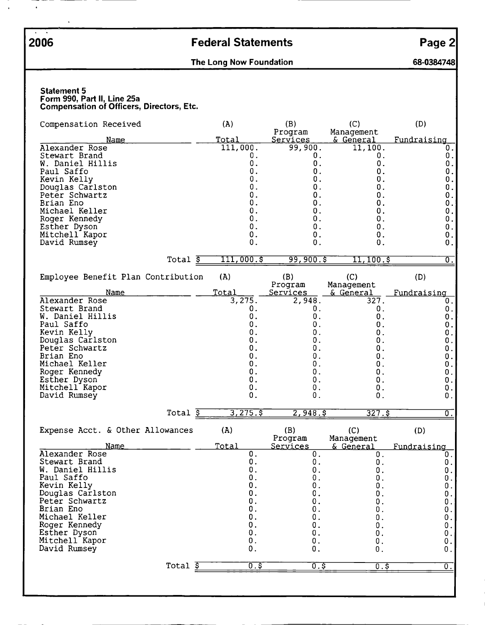- $\blacksquare$ 

 $\bar{\textbf{r}}$ 

# 2006 Federal Statements Page 2

## The Long Now Foundation **68-0384748**

#### Statement 5 Form 990, Part II, Line 25a Compensation of Officers, Directors, Etc.

| Compensation Received                                                                                                                                                                                                            |                       | (A)                                                                                                                                  | (B)                                                                                                                                   | (C)                                                                                                                       | (D)                                                                                                                     |
|----------------------------------------------------------------------------------------------------------------------------------------------------------------------------------------------------------------------------------|-----------------------|--------------------------------------------------------------------------------------------------------------------------------------|---------------------------------------------------------------------------------------------------------------------------------------|---------------------------------------------------------------------------------------------------------------------------|-------------------------------------------------------------------------------------------------------------------------|
| <u>Name</u>                                                                                                                                                                                                                      |                       | Total                                                                                                                                | Program<br><u>Services</u>                                                                                                            | Management<br><u>&amp; General</u>                                                                                        | Fundraising                                                                                                             |
| Alexander Rose<br>Stewart Brand<br>W. Daniel Hillis<br>Paul Saffo<br>Kevin Kelly<br>Douglas Carlston<br>Peter Schwartz<br>Brian Eno<br>Michael Keller<br>Roger Kennedy<br>Esther Dyson<br>Mitchell Kapor<br>David Rumsey         |                       | 111,000.<br>О.<br>0.<br>0.<br>0.<br>0.<br>0.<br>0.<br>0.<br>0.<br>$\mathbf 0$ .<br>0.<br>0.                                          | 99,900.<br>0.<br>$\mathbf 0$ .<br>О.<br>О.<br>0.<br>0.<br>О.<br>О.<br>0.<br>0.<br>О.<br>О.                                            | 11,100.<br>0.<br>0.<br>О.<br>О.<br>0.<br>0.<br>0.<br>0.<br>0.<br>0.<br>0.<br>0.                                           | 0.<br>0.<br>0.<br>$\boldsymbol{0}$ .<br>0.<br>0.<br>$\mathbf 0$ .<br>0.<br>0.<br>0.<br>0.<br>О.<br>О.                   |
|                                                                                                                                                                                                                                  | Total $\overline{s}$  | 111,000.5                                                                                                                            | 99,900.5                                                                                                                              | $11, 100.\$                                                                                                               | 0.                                                                                                                      |
| Employee Benefit Plan Contribution                                                                                                                                                                                               |                       | (A)                                                                                                                                  | (B)<br>Program                                                                                                                        | (C)<br>Management                                                                                                         | (D)                                                                                                                     |
| Name<br>Alexander Rose<br>Stewart Brand<br>W. Daniel Hillis<br>Paul Saffo<br>Kevin Kelly<br>Douglas Carlston<br>Peter Schwartz<br>Brian Eno<br>Michael Keller<br>Roger Kennedy<br>Esther Dyson<br>Mitchell Kapor<br>David Rumsey | Total $\overline{\$}$ | <u>Total</u><br>3,275.<br>0.<br>0.<br>$\boldsymbol{0}$ .<br>0.<br>0.<br>0.<br>О.<br>$\mathbf 0$ .<br>0.<br>0.<br>0.<br>0.<br>3,275.5 | <b>Services</b><br>2,948.<br>$\mathbf 0$ .<br>0.<br>0.<br>0.<br>0.<br>0.<br>0.<br>0.<br>$0$ .<br>0.<br>0.<br>$\mathbf 0$ .<br>2,948.5 | & General<br>327.<br>0.<br>0.<br>0.<br>0.<br>0.<br>0.<br>0.<br>0.<br>0.<br>0.<br>$\boldsymbol{0}$ .<br>$0$ .<br>$327.$ \$ | Fundraising<br>0.<br>0.<br>0.<br>0.<br>0<br>0.<br>0.<br>0.<br>0.<br>0.<br>$\mathbf 0$ .<br>О.<br>0.<br>0.               |
| Expense Acct. & Other Allowances                                                                                                                                                                                                 |                       | (A)                                                                                                                                  | (B)                                                                                                                                   | (C)                                                                                                                       |                                                                                                                         |
|                                                                                                                                                                                                                                  |                       |                                                                                                                                      | Program                                                                                                                               | Management                                                                                                                | (D)                                                                                                                     |
| Name<br>Alexander Rose<br>Stewart Brand<br>W. Daniel Hillis<br>Paul Saffo<br>Kevin Kelly<br>Douglas Carlston<br>Peter Schwartz<br>Brian Eno<br>Michael Keller<br>Roger Kennedy<br>Esther Dyson<br>Mitchell Kapor<br>David Rumsey | Total $\overline{S}$  | Total<br>0.<br>$\mathbf 0$ .<br>0<br>$\mathbf 0$ .<br>О.<br>О.<br>0.<br>О.<br>О.<br>О.<br>0.<br>0.<br>0.<br>0.5                      | Services<br>0.<br>0.<br>0<br>0.<br>0.<br>0.<br>0.<br>0.<br>0.<br>0.<br>О.<br>0.<br>0.<br>0.5                                          | <u>&amp; General</u><br>0.<br>О.<br>0<br>$\boldsymbol{0}$ .<br>0.<br>0.<br>О.<br>О.<br>0.<br>0.<br>О.<br>О.<br>О.<br>0.\$ | Fundraising<br>0.<br>0.<br>0<br>$\mathbf 0$ .<br>0.<br>0.<br>0.<br>0.<br>0.<br>0.<br>0.<br>0.<br>О.<br>$\overline{0}$ . |
|                                                                                                                                                                                                                                  |                       |                                                                                                                                      |                                                                                                                                       |                                                                                                                           |                                                                                                                         |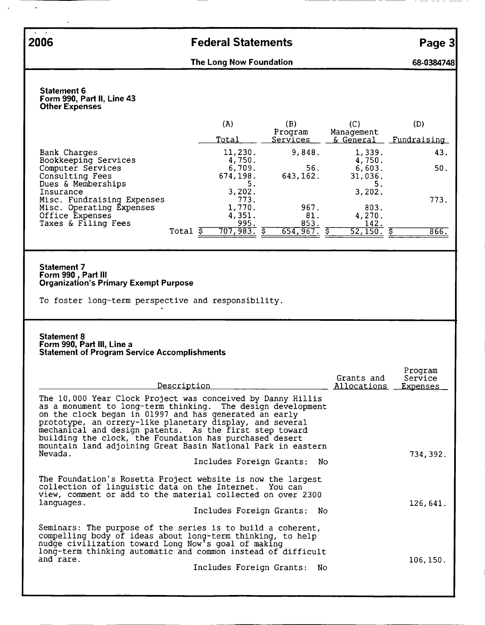$\mathbf{A}=\mathbf{A}$ 

 $\ddot{\phantom{a}}$ 

## 2006 Federal Statements Page 3

The Long Now Foundation **68-0384748** 

Statement 6 Form 990, Part II, Line 43 Other Expenses

|                                                               |       | (A)                | (B)<br>Program   | (C)<br>Management | (D)         |
|---------------------------------------------------------------|-------|--------------------|------------------|-------------------|-------------|
|                                                               |       | <u>Total</u>       | Services         | & General         | Fundraising |
| Bank Charges<br>Bookkeeping Services                          |       | 11,230.<br>4,750.  | 9,848.           | 1,339.<br>4,750.  | 43.         |
| Computer Services<br>Consulting Fees                          |       | 6,709.<br>674,198. | 56.<br>643, 162. | 6,603.<br>31,036. | 50.         |
| Dues & Memberships<br>Insurance<br>Misc. Fundraising Expenses |       | 3,202.<br>773.     |                  | 3,202.            | 773.        |
| Misc. Operating Expenses<br>Office Expenses                   |       | 1,770.<br>4,351.   | 967.<br>81.      | 803.<br>4,270.    |             |
| Taxes & Filing Fees                                           | Total | 995.<br>707,983.   | 853.<br>654,967. | 142.<br>52, 150.  | 866.        |
|                                                               |       |                    |                  |                   |             |

## Statement 7<br>Form 990 , Part III Organization's Primary Exempt Purpose

To foster long-term perspective and responsibility.

#### Statement 8 Form 990, Part III, Line a Statement of Program Service Accomplishments

| Description                                                                                                                                                                                                                                                                                                                                                                                                                            | Grants and<br>Allocations | Program<br>Service<br><b>Expenses</b> |
|----------------------------------------------------------------------------------------------------------------------------------------------------------------------------------------------------------------------------------------------------------------------------------------------------------------------------------------------------------------------------------------------------------------------------------------|---------------------------|---------------------------------------|
| The 10,000 Year Clock Project was conceived by Danny Hillis<br>as a monument to long-term thinking. The design development<br>on the clock began in 01997 and has generated an early<br>prototype, an orrery-like planetary display, and several<br>mechanical and design patents. As the first step toward<br>building the clock, the Foundation has purchased desert<br>mountain land adjoining Great Basin National Park in eastern |                           |                                       |
| Nevada.<br>Includes Foreign Grants: No                                                                                                                                                                                                                                                                                                                                                                                                 |                           | 734,392.                              |
| The Foundation's Rosetta Project website is now the largest<br>collection of linguistic data on the Internet. You can<br>view, comment or add to the material collected on over 2300<br>languages.<br>Includes Foreign Grants: No                                                                                                                                                                                                      |                           | 126,641.                              |
| Seminars: The purpose of the series is to build a coherent,<br>compelling body of ideas about long-term thinking, to help<br>nudge civilization toward Long Now's goal of making<br>long-term thinking automatic and common instead of difficult<br>and rare.<br>Includes Foreign Grants:<br>No                                                                                                                                        |                           | 106, 150.                             |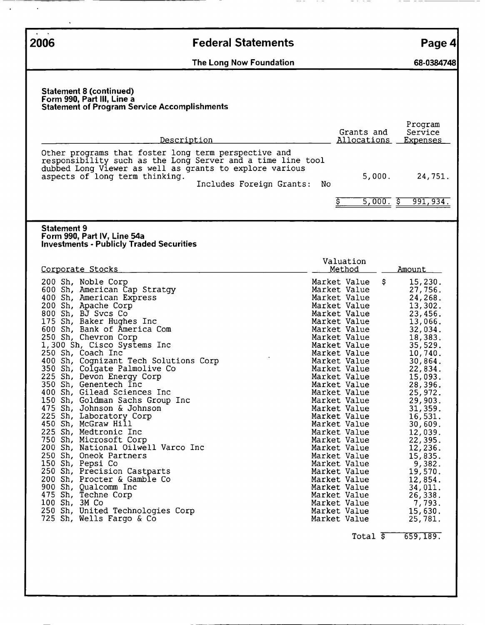| $\mathbf{r}$ and $\mathbf{r}$<br>2006                                                                                                                                                                                                                                                                                                                                                                                                                                                                                                                                                                                                                                                                                                                                                                                                                                                   | <b>Federal Statements</b>      |                                                                                                                                                                                                                                                                                                                                                                                                                                                                                                                                              | Page 4                                                                                                                                                                                                                                                                                                                                                       |
|-----------------------------------------------------------------------------------------------------------------------------------------------------------------------------------------------------------------------------------------------------------------------------------------------------------------------------------------------------------------------------------------------------------------------------------------------------------------------------------------------------------------------------------------------------------------------------------------------------------------------------------------------------------------------------------------------------------------------------------------------------------------------------------------------------------------------------------------------------------------------------------------|--------------------------------|----------------------------------------------------------------------------------------------------------------------------------------------------------------------------------------------------------------------------------------------------------------------------------------------------------------------------------------------------------------------------------------------------------------------------------------------------------------------------------------------------------------------------------------------|--------------------------------------------------------------------------------------------------------------------------------------------------------------------------------------------------------------------------------------------------------------------------------------------------------------------------------------------------------------|
|                                                                                                                                                                                                                                                                                                                                                                                                                                                                                                                                                                                                                                                                                                                                                                                                                                                                                         | The Long Now Foundation        |                                                                                                                                                                                                                                                                                                                                                                                                                                                                                                                                              | 68-0384748                                                                                                                                                                                                                                                                                                                                                   |
| <b>Statement 8 (continued)</b><br>Form 990, Part III, Line a<br><b>Statement of Program Service Accomplishments</b>                                                                                                                                                                                                                                                                                                                                                                                                                                                                                                                                                                                                                                                                                                                                                                     |                                |                                                                                                                                                                                                                                                                                                                                                                                                                                                                                                                                              |                                                                                                                                                                                                                                                                                                                                                              |
| Description<br>Other programs that foster long term perspective and                                                                                                                                                                                                                                                                                                                                                                                                                                                                                                                                                                                                                                                                                                                                                                                                                     |                                | Grants and<br>Allocations                                                                                                                                                                                                                                                                                                                                                                                                                                                                                                                    | Program<br>Service<br><u>Expenses</u>                                                                                                                                                                                                                                                                                                                        |
| responsibility such as the Long Server and a time line tool<br>dubbed Long Viewer as well as grants to explore various<br>aspects of long term thinking.                                                                                                                                                                                                                                                                                                                                                                                                                                                                                                                                                                                                                                                                                                                                | Includes Foreign Grants:<br>No | 5,000.                                                                                                                                                                                                                                                                                                                                                                                                                                                                                                                                       | 24,751.                                                                                                                                                                                                                                                                                                                                                      |
|                                                                                                                                                                                                                                                                                                                                                                                                                                                                                                                                                                                                                                                                                                                                                                                                                                                                                         |                                | 5,000.5                                                                                                                                                                                                                                                                                                                                                                                                                                                                                                                                      | 991,934.                                                                                                                                                                                                                                                                                                                                                     |
| <b>Statement 9</b><br>Form 990, Part IV, Line 54a<br><b>Investments - Publicly Traded Securities</b>                                                                                                                                                                                                                                                                                                                                                                                                                                                                                                                                                                                                                                                                                                                                                                                    |                                |                                                                                                                                                                                                                                                                                                                                                                                                                                                                                                                                              |                                                                                                                                                                                                                                                                                                                                                              |
| Corporate Stocks                                                                                                                                                                                                                                                                                                                                                                                                                                                                                                                                                                                                                                                                                                                                                                                                                                                                        |                                | Valuation<br>Method                                                                                                                                                                                                                                                                                                                                                                                                                                                                                                                          | <u>Amount</u>                                                                                                                                                                                                                                                                                                                                                |
| 200 Sh, Noble Corp<br>600 Sh, American Cap Stratgy<br>400 Sh, American Express<br>200 Sh, Apache Corp<br>800 Sh, BJ Svcs Co<br>175 Sh, Baker Hughes Inc<br>600 Sh, Bank of America Com<br>250 Sh, Chevron Corp<br>1,300 Sh, Cisco Systems Inc<br>250 Sh, Coach Inc<br>400 Sh, Cognizant Tech Solutions Corp<br>350 Sh, Colgate Palmolive Co<br>225 Sh, Devon Energy Corp<br>350 Sh, Genentech Inc<br>400 Sh, Gilead Sciences Inc<br>150 Sh, Goldman Sachs Group Inc<br>475 Sh, Johnson & Johnson<br>225 Sh, Laboratory Corp<br>450 Sh, McGraw Hill<br>225 Sh, Medtronic Inc<br>750 Sh, Microsoft Corp<br>200 Sh, National Oilwell Varco Inc<br>250 Sh, Oneok Partners<br>150 Sh, Pepsi Co<br>250 Sh, Precision Castparts<br>200 Sh, Procter & Gamble Co<br>900 Sh, Qualcomm Inc<br>475 Sh, Techne Corp<br>100 Sh, 3M Co<br>250 Sh, United Technologies Corp<br>725 Sh, Wells Fargo & Co |                                | \$<br>Market Value<br>Market Value<br>Market Value<br>Market Value<br>Market Value<br>Market Value<br>Market Value<br>Market Value<br>Market Value<br>Market Value<br>Market Value<br>Market Value<br>Market Value<br>Market Value<br>Market Value<br>Market Value<br>Market Value<br>Market Value<br>Market Value<br>Market Value<br>Market Value<br>Market Value<br>Market Value<br>Market Value<br>Market Value<br>Market Value<br>Market Value<br>Market Value<br>Market Value<br>Market Value<br>Market Value<br>Total $\overline{\xi}$ | 15,230.<br>27,756.<br>24,268.<br>13,302.<br>23,456.<br>13,066.<br>32,034.<br>18,383.<br>35,529.<br>10,740.<br>30,864.<br>22,834.<br>15,093.<br>28,396.<br>25,972.<br>29,903.<br>31,359.<br>16,531.<br>30,609.<br>12,039.<br>22,395.<br>12,236.<br>15,835.<br>9,382.<br>19,570.<br>12,854.<br>34,011.<br>26,338.<br>7,793.<br>15,630.<br>25,781.<br>659, 189. |

 $\ddot{\phantom{1}}$ 

 $\blacksquare$ 

 $- - -$ 

 $-$ 

 $-$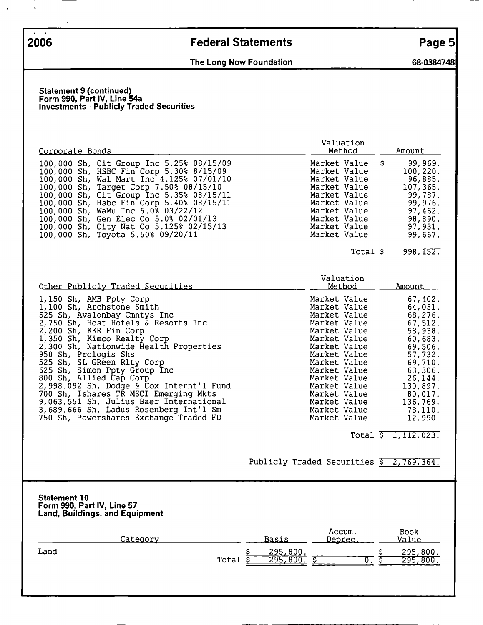$\ddot{\phantom{0}}$ 

# 2006 Federal Statements Page 5

## The Long Now Foundation **68-0384748**

#### Statement 9 (continued) Form 990, Part IV, Line 54a Investments - Publicly Traded Securities

| Corporate Bonds                                                                                                                                                                                                                                                                                                                                                                                                                                                                                                                                                     | Valuation<br><u>Method</u>                                                                                                                                                                                                                                                                            | Amount                                                                                                                                                                                                              |
|---------------------------------------------------------------------------------------------------------------------------------------------------------------------------------------------------------------------------------------------------------------------------------------------------------------------------------------------------------------------------------------------------------------------------------------------------------------------------------------------------------------------------------------------------------------------|-------------------------------------------------------------------------------------------------------------------------------------------------------------------------------------------------------------------------------------------------------------------------------------------------------|---------------------------------------------------------------------------------------------------------------------------------------------------------------------------------------------------------------------|
| 100,000 Sh, Cit Group Inc 5.25% 08/15/09<br>100,000 Sh, HSBC Fin Corp 5.30% 8/15/09<br>100,000 Sh, Wal Mart Inc 4.125% 07/01/10<br>100,000 Sh, Target Corp 7.50% 08/15/10<br>100,000 Sh, Cit Group Inc 5.35% 08/15/11<br>100,000 Sh, Hsbc Fin Corp 5.40% 08/15/11<br>100,000 Sh, WaMu Inc 5.0% 03/22/12<br>100,000 Sh, Gen Elec Co 5.0% 02/01/13<br>100,000 Sh, City Nat Co 5.125% 02/15/13<br>100,000 Sh, Toyota 5.50% 09/20/11                                                                                                                                    | Market Value<br>Market Value<br>Market Value<br>Market Value<br>Market Value<br>Market Value<br>Market Value<br>Market Value<br>Market Value<br>Market Value                                                                                                                                          | \$<br>99,969.<br>100, 220.<br>96,885.<br>107,365.<br>99,787.<br>99, 976.<br>97,462.<br>98,890.<br>97,931.<br>99,667.                                                                                                |
|                                                                                                                                                                                                                                                                                                                                                                                                                                                                                                                                                                     | Total $\overline{\$}$                                                                                                                                                                                                                                                                                 | 998,152.                                                                                                                                                                                                            |
| Other Publicly Traded Securities                                                                                                                                                                                                                                                                                                                                                                                                                                                                                                                                    | Valuation<br>Method<br>Market Value                                                                                                                                                                                                                                                                   | <u>Amount</u>                                                                                                                                                                                                       |
| 1,150 Sh, AMB Ppty Corp<br>1,100 Sh, Archstone Smith<br>525 Sh, Avalonbay Cmntys Inc<br>2,750 Sh, Host Hotels & Resorts Inc<br>2,200 Sh, KKR Fin Corp<br>1,350 Sh, Kimco Realty Corp<br>2,300 Sh, Nationwide Health Properties<br>950 Sh, Prologis Shs<br>525 Sh, SL GReen Rlty Corp<br>625 Sh, Simon Ppty Group Inc<br>800 Sh, Allied Cap Corp<br>2,998.092 Sh, Dodge & Cox Internt'l Fund<br>700 Sh, Ishares TR MSCI Emerging Mkts<br>9,063.551 Sh, Julius Baer International<br>3,689.666 Sh, Ladus Rosenberg Int'l Sm<br>750 Sh, Powershares Exchange Traded FD | Market Value<br>Market Value<br>Market Value<br>Market Value<br>Market Value<br>Market Value<br>Market Value<br>Market Value<br>Market Value<br>Market Value<br>Market Value<br>Market Value<br>Market Value<br>Market Value<br>Market Value<br>Publicly Traded Securities $\frac{1}{5}$ 2, 769, 364. | 67,402.<br>64,031.<br>68,276.<br>67,512.<br>58,938.<br>60,683.<br>69,506.<br>57,732.<br>69,710.<br>63,306.<br>26,144.<br>130,897.<br>80,017.<br>136,769.<br>78,110.<br>12,990.<br>Total $\overline{5}$ 1, 112, 023. |
| <b>Statement 10</b><br>Form 990, Part IV, Line 57<br><b>Land, Buildings, and Equipment</b>                                                                                                                                                                                                                                                                                                                                                                                                                                                                          |                                                                                                                                                                                                                                                                                                       |                                                                                                                                                                                                                     |
| Category                                                                                                                                                                                                                                                                                                                                                                                                                                                                                                                                                            | Accum.<br><b>Basis</b><br>Deprec                                                                                                                                                                                                                                                                      | Book<br>Value                                                                                                                                                                                                       |
| Land<br>Total                                                                                                                                                                                                                                                                                                                                                                                                                                                                                                                                                       | \$<br><u>295,800.</u><br>इ<br>295,800.<br><u>इ</u><br>$\overline{0}$ .                                                                                                                                                                                                                                | 295,800.<br>Ş<br>$\mathbf{S}$<br>295,800.                                                                                                                                                                           |
|                                                                                                                                                                                                                                                                                                                                                                                                                                                                                                                                                                     |                                                                                                                                                                                                                                                                                                       |                                                                                                                                                                                                                     |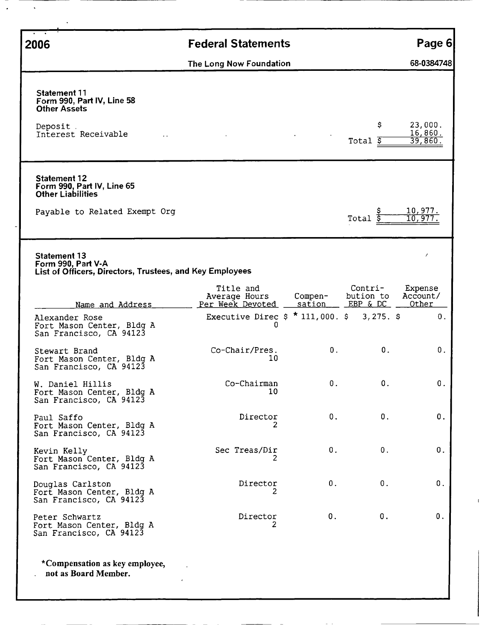| 2006                                                                                                           | <b>Federal Statements</b>                      |                   |                                  | Page 6                        |
|----------------------------------------------------------------------------------------------------------------|------------------------------------------------|-------------------|----------------------------------|-------------------------------|
|                                                                                                                | The Long Now Foundation                        |                   |                                  | 68-0384748                    |
| <b>Statement 11</b><br>Form 990, Part IV, Line 58<br><b>Other Assets</b><br>Deposit.<br>Interest Receivable    |                                                |                   | \$<br>Total $\overline{s}$       | 23,000.<br>16,860.<br>39,860. |
| <b>Statement 12</b><br>Form 990, Part IV, Line 65<br><b>Other Liabilities</b><br>Payable to Related Exempt Org |                                                |                   | Total                            | <u> 10,977.</u><br>10.97      |
| <b>Statement 13</b><br>Form 990, Part V-A<br>List of Officers, Directors, Trustees, and Key Employees          |                                                |                   |                                  |                               |
| Name and Address                                                                                               | Title and<br>Average Hours<br>Per Week Devoted | Compen-<br>sation | Contri-<br>bution to<br>EBP & DC | Expense<br>Account/<br>Other  |
| Alexander Rose<br>Fort Mason Center, Bldg A<br>San Francisco, CA 94123                                         | Executive Direc \$<br>0                        | $*$ 111,000. \$   | $3,275.$ \$                      | 0.                            |
| Stewart Brand<br>Fort Mason Center, Bldg A<br>San Francisco, CA 94123                                          | Co-Chair/Pres.<br>10                           | 0.                | 0.                               | 0.                            |
| W. Daniel Hillis<br>Fort Mason Center, Bldg A<br>San Francisco, CA 94123                                       | Co-Chairman<br>10                              | О.                | 0.                               | $0$ .                         |
| Paul Saffo<br>Fort Mason Center, Bldg A<br>San Francisco, CA 94123                                             | Director                                       | 0.                | 0.                               | $\boldsymbol{0}$ .            |
| Kevin Kelly<br>Fort Mason Center, Bldg A<br>San Francisco, CA 94123                                            | Sec Treas/Dir                                  | 0.                | 0.                               | 0.                            |
| Douglas Carlston<br>Fort Mason Center, Bldg A<br>San Francisco, CA 94123                                       | Director                                       | 0.                | 0.                               | О.                            |
| Peter Schwartz<br>Fort Mason Center, Bldg A<br>San Francisco, CA 94123                                         | Director<br>2                                  | О.                | 0.                               | 0.                            |
| *Compensation as key employee,<br>not as Board Member.                                                         |                                                |                   |                                  |                               |

l,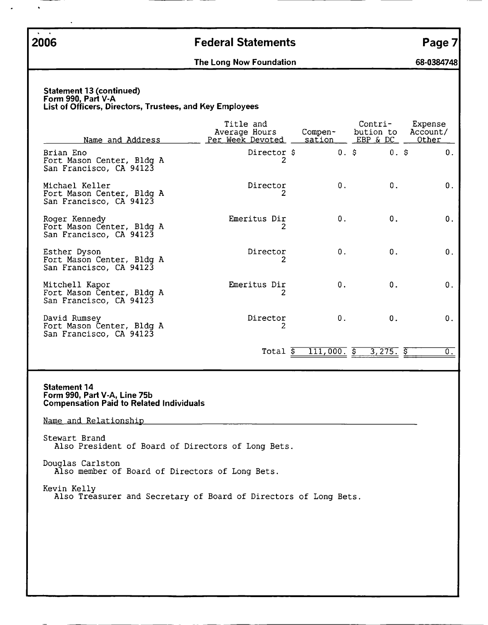$\ddot{\phantom{0}}$ 

## 2006 Federal Statements Page 7

The Long Now Foundation 68-0384748

#### Statement 13 (continued) Form 990, Part V-A List of Officers, Directors, Trustees, and Key Employees

| Name and Address                                                                                       | Title and<br>Average Hours<br>Per Week Devoted | Compen-<br>sation        | Contri-<br>bution to<br>EBP & DC | Expense<br>Account/<br>Other |
|--------------------------------------------------------------------------------------------------------|------------------------------------------------|--------------------------|----------------------------------|------------------------------|
| Brian Eno<br>Fort Mason Center, Bldg A<br>San Francisco, CA 94123                                      | Director \$                                    | 0.5                      | $0.$ \$                          | 0.                           |
| Michael Keller<br>Fort Mason Center, Bldg A<br>San Francisco, CA 94123                                 | Director                                       | 0.                       | 0.                               | 0.                           |
| Roger Kennedy<br>Fort Mason Center, Bldg A<br>San Francisco, CA 94123                                  | Emeritus Dir                                   | 0.                       | 0.                               | 0.                           |
| Esther Dyson<br>Fort Mason Center, Bldg A<br>San Francisco, CA 94123                                   | Director<br>2                                  | 0.                       | 0.                               | 0.                           |
| Mitchell Kapor<br>Fort Mason Center, Bldg A<br>San Francisco, CA 94123                                 | Emeritus Dir                                   | $\mathbf{0}$ .           | 0.                               | 0.                           |
| David Rumsey<br>Fort Mason Center, Bldg A<br>San Francisco, CA 94123                                   | Director<br>2                                  | 0.                       | 0.                               | 0.                           |
|                                                                                                        | Total \$                                       | $\overline{111,000.}$ \$ | $3,275.$ $\overline{5}$          | $\overline{0}$ .             |
| <b>Statement 14</b><br>Form 990, Part V-A, Line 75b<br><b>Compensation Paid to Related Individuals</b> |                                                |                          |                                  |                              |
| Name and Relationship                                                                                  |                                                |                          |                                  |                              |
| Stewart Brand                                                                                          |                                                |                          |                                  |                              |

Also President of Board of Directors of Long Bets.

Douglas Carlston Also member of Board of Directors of Long Bets.

Kevin Kelly

Also Treasurer and Secretary of Board of Directors of Long Bets.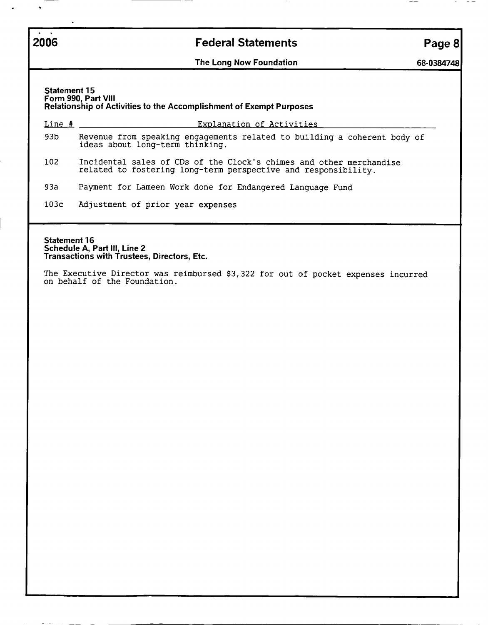## 2006 **Federal Statements Page 8**

The Long Now Foundation 68-0384748

Statement 15 Form 990, Part VIII Relationship of Activities to the Accomplishment of Exempt Purposes

Line fl Exolanation of Activities 93b Revenue from speaking engagements related to building a coherent body of ideas about long-term thinking. 102 Incidental sales of CDs of the Clock's chimes and other merchandise related to fostering long-term perspective and responsibility. 93a Payment for Lameen Work done for Endangered Language Fund

103C Adjustment of prior year expenses

Statement 16 Schedule A, Part III, Line 2 Transactions with Trustees, Directors, Etc.

The Executive Director was reimbursed \$3,322 for out of pocket expenses incurred on behalf of the Foundation.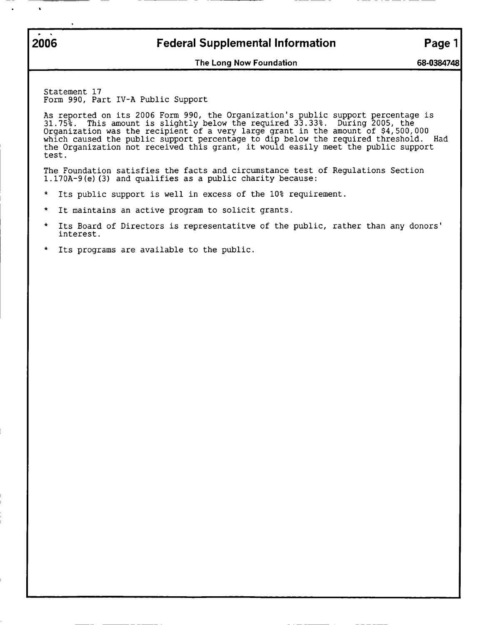$\mathbf{r}$ 

## 2006 **Federal Supplemental Information** Page 1

The Long Now Foundation 68-0384748

Statement 17 Form 990, Part IV-A Public Support

As 31. Organization was the recipient of <sup>a</sup> very large grant in the amount of \$4,500,000 which caused the public support percentage to dip below the required threshold. Had the Organization not received this grant, it would easily meet the public support test. reported on its <sup>2006</sup> Form 990, the Organization's public support percentage is 75%. This amount is slightly below the required 33.33%. During 2005, the

The Foundation satisfies the facts and circumstance test of Regulations Section l.170A-9(e)(3) and qualifies as <sup>a</sup> public charity because:

- $\star$ Its public support is well in excess of the 10% requirement.
- \* It maintains an active program to solicit grants.
- \* Its Board of Directors is representatitve of the public, rather than any donors' interest.
- Its programs are available to the public.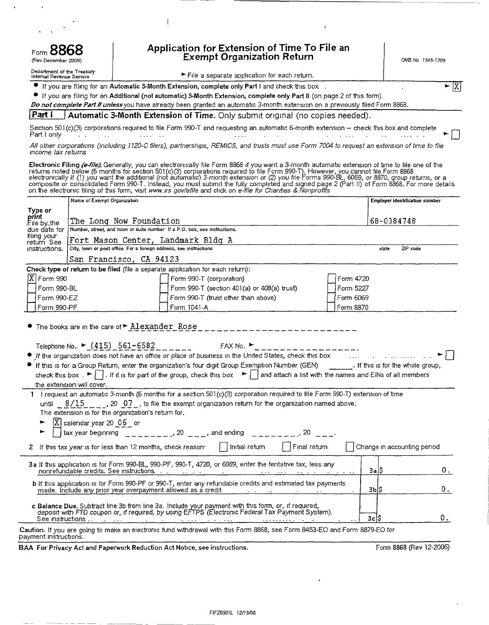| Application for Extension of Time To File an<br>Exempt Organization Return<br>Form <b>OOOO</b><br>(Rev December 2006) |                                                                   |                                                                                                                                                                                                                                                                                                                                                                                                                                                                                                                                                                                                                                                          |           |                                | OMB No 1545-1709 |
|-----------------------------------------------------------------------------------------------------------------------|-------------------------------------------------------------------|----------------------------------------------------------------------------------------------------------------------------------------------------------------------------------------------------------------------------------------------------------------------------------------------------------------------------------------------------------------------------------------------------------------------------------------------------------------------------------------------------------------------------------------------------------------------------------------------------------------------------------------------------------|-----------|--------------------------------|------------------|
| Department of the Treasury<br>Internal Revenue Service                                                                |                                                                   |                                                                                                                                                                                                                                                                                                                                                                                                                                                                                                                                                                                                                                                          |           |                                |                  |
|                                                                                                                       |                                                                   | $\blacktriangleright$ File a separate application for each return.<br>If you are filing for an Automatic 3-Month Extension, complete only Part I and check this box.                                                                                                                                                                                                                                                                                                                                                                                                                                                                                     |           |                                | $\mathbf{E}$  X  |
|                                                                                                                       |                                                                   | If you are filing for an Additional (not automatic) 3-Month Extension, complete only Part II (on page 2 of this form).<br>Do not complete Part II unless you have already been granted an automatic 3-month extension on a previously filed Form 8868.                                                                                                                                                                                                                                                                                                                                                                                                   |           |                                |                  |
| Part I                                                                                                                |                                                                   | Automatic 3-Month Extension of Time. Only submit original (no copies needed).                                                                                                                                                                                                                                                                                                                                                                                                                                                                                                                                                                            |           |                                |                  |
| Part I only                                                                                                           | the control of the control of the                                 | Section 501(c)(3) corporations required to file Form 990-T and requesting an automatic 6-month extension - check this box and complete<br>$\mathcal{L}^{\mathcal{L}}$ and $\mathcal{L}^{\mathcal{L}}$ . The contribution of the contribution of the contribution of $\mathcal{L}^{\mathcal{L}}$                                                                                                                                                                                                                                                                                                                                                          |           |                                |                  |
| income tax returns                                                                                                    |                                                                   | All other corporations (including 1120-C filers), partnerships, REMICS, and trusts must use Form 7004 to request an extension of time to file                                                                                                                                                                                                                                                                                                                                                                                                                                                                                                            |           |                                |                  |
|                                                                                                                       |                                                                   | Electronic Filing (e-file). Generally, you can electronically file Form 8868 if you want a 3-month automatic extension of time to file one of the<br>returns noted below (6 months for section 501(c)(3) corporations required to file Form 990-T). However, you cannot file Form 8868<br>electronically if (1) you want the additional (not automatic) 3-month extension or (2) you f<br>composite or consolidated Form 990 T. Instead, you must submit the fully completed and signed page 2 (Part II) of Form 8868. For more details<br>on the electronic filing of this form, visit www.irs gov/efile and click on e-file for Charities & Nonproffis |           |                                |                  |
|                                                                                                                       | Name of Exempt Organization                                       |                                                                                                                                                                                                                                                                                                                                                                                                                                                                                                                                                                                                                                                          |           | Employer identification number |                  |
| Type or<br>print                                                                                                      |                                                                   |                                                                                                                                                                                                                                                                                                                                                                                                                                                                                                                                                                                                                                                          |           |                                |                  |
| .File by⊥the i<br>due date for                                                                                        | The Long Now Foundation                                           | Number, street, and room or suite number If a P.O. box, see instructions.                                                                                                                                                                                                                                                                                                                                                                                                                                                                                                                                                                                |           | 68-0384748                     |                  |
| filing your                                                                                                           |                                                                   | Fort Mason Center, Landmark Bldg A                                                                                                                                                                                                                                                                                                                                                                                                                                                                                                                                                                                                                       |           |                                |                  |
| return See<br>instructions.                                                                                           | City, town or post office For a foreign address, see instructions |                                                                                                                                                                                                                                                                                                                                                                                                                                                                                                                                                                                                                                                          |           | state<br>ZIP code              |                  |
|                                                                                                                       | San Francisco, CA 94123                                           |                                                                                                                                                                                                                                                                                                                                                                                                                                                                                                                                                                                                                                                          |           |                                |                  |
|                                                                                                                       |                                                                   | Check type of return to be filed (file a separate application for each return):                                                                                                                                                                                                                                                                                                                                                                                                                                                                                                                                                                          |           |                                |                  |
| $ \overline{X} $ Form 990                                                                                             |                                                                   | Form 990-T (corporation)                                                                                                                                                                                                                                                                                                                                                                                                                                                                                                                                                                                                                                 | Form 4720 |                                |                  |
| Form 990-BL                                                                                                           |                                                                   | Form 990-T (section 401(a) or 408(a) trust)                                                                                                                                                                                                                                                                                                                                                                                                                                                                                                                                                                                                              | Form 5227 |                                |                  |
| Form 990-EZ                                                                                                           |                                                                   | Form 990-T (trust other than above)                                                                                                                                                                                                                                                                                                                                                                                                                                                                                                                                                                                                                      | Form 6069 |                                |                  |
| Form 990-PF                                                                                                           |                                                                   | Form 1041-A                                                                                                                                                                                                                                                                                                                                                                                                                                                                                                                                                                                                                                              | Form 8870 |                                |                  |
|                                                                                                                       | The books are in the care of $\blacktriangleright$ Alexander Rose |                                                                                                                                                                                                                                                                                                                                                                                                                                                                                                                                                                                                                                                          |           |                                |                  |
|                                                                                                                       | Telephone No $\triangleright$ (415) 561-6582                      | FAX No.                                                                                                                                                                                                                                                                                                                                                                                                                                                                                                                                                                                                                                                  |           |                                |                  |
|                                                                                                                       |                                                                   | • If the organization does not have an office or place of business in the United States, check this box with the window the window the control of the line or and the window of the control of the United States, check this b                                                                                                                                                                                                                                                                                                                                                                                                                           |           |                                |                  |
|                                                                                                                       |                                                                   | • If this is for a Group Return, enter the organization's four digit Group Exemption Number (GEN) [16]. If this is for the whole group,                                                                                                                                                                                                                                                                                                                                                                                                                                                                                                                  |           |                                |                  |
|                                                                                                                       |                                                                   | check this box. $\blacktriangleright \Box$ . If it is for part of the group, check this box $\blacktriangleright \Box$ and attach a list with the names and EINs of all members                                                                                                                                                                                                                                                                                                                                                                                                                                                                          |           |                                |                  |
| the extension will cover.                                                                                             |                                                                   |                                                                                                                                                                                                                                                                                                                                                                                                                                                                                                                                                                                                                                                          |           |                                |                  |
|                                                                                                                       |                                                                   | 1 I request an automatic 3-month (6 months for a section 501(c)(3) corporation required to file Form 990-T) extension of time                                                                                                                                                                                                                                                                                                                                                                                                                                                                                                                            |           |                                |                  |
|                                                                                                                       |                                                                   | until $8/15$ , 20 07, to file the exempt organization return for the organization named above.                                                                                                                                                                                                                                                                                                                                                                                                                                                                                                                                                           |           |                                |                  |
|                                                                                                                       | The extension is for the organization's return for.               |                                                                                                                                                                                                                                                                                                                                                                                                                                                                                                                                                                                                                                                          |           |                                |                  |
|                                                                                                                       | $X$ calendar year 20 $\sqrt{0.6}$ or                              |                                                                                                                                                                                                                                                                                                                                                                                                                                                                                                                                                                                                                                                          |           |                                |                  |
|                                                                                                                       |                                                                   | tax year beginning $\frac{1}{2}$ = $\frac{1}{20}$ = $\frac{1}{20}$ = $\frac{1}{20}$ and ending = $\frac{1}{20}$ = $\frac{1}{20}$ = $\frac{1}{20}$ = $\frac{1}{20}$                                                                                                                                                                                                                                                                                                                                                                                                                                                                                       |           |                                |                  |
|                                                                                                                       | 2 If this tax year is for less than 12 months, check reason.      | $\Box$ Final return<br>    Initial return                                                                                                                                                                                                                                                                                                                                                                                                                                                                                                                                                                                                                |           | Change in accounting period    |                  |
|                                                                                                                       |                                                                   | 3a If this application is for Form 990-BL, 990-PF, 990-T, 4720, or 6069, enter the tentative tax, less any                                                                                                                                                                                                                                                                                                                                                                                                                                                                                                                                               |           | 3a 5                           | 0.               |
|                                                                                                                       |                                                                   | <b>b</b> If this application is for Form 990-PF or 990-T, enter any refundable credits and estimated tax payments<br>made. Include any prior year overpayment allowed as a credit                                                                                                                                                                                                                                                                                                                                                                                                                                                                        |           | 3Ы\$                           | 0.               |
|                                                                                                                       |                                                                   |                                                                                                                                                                                                                                                                                                                                                                                                                                                                                                                                                                                                                                                          |           |                                |                  |
|                                                                                                                       |                                                                   | c Balance Due. Subtract line 3b from line 3a. Include your payment with this form, or, if required, deposit with FTD coupon or, if required, by using EFTPS (Electronic Federal Tax Payment System).                                                                                                                                                                                                                                                                                                                                                                                                                                                     |           | 3c                             | 0.               |
|                                                                                                                       |                                                                   |                                                                                                                                                                                                                                                                                                                                                                                                                                                                                                                                                                                                                                                          |           |                                |                  |

BAA For Privacy Act and Paperwork Reduction Act Notice, see instructions. Form 8868 (Rev 12-2006) Form 8868 (Rev 12-2006)